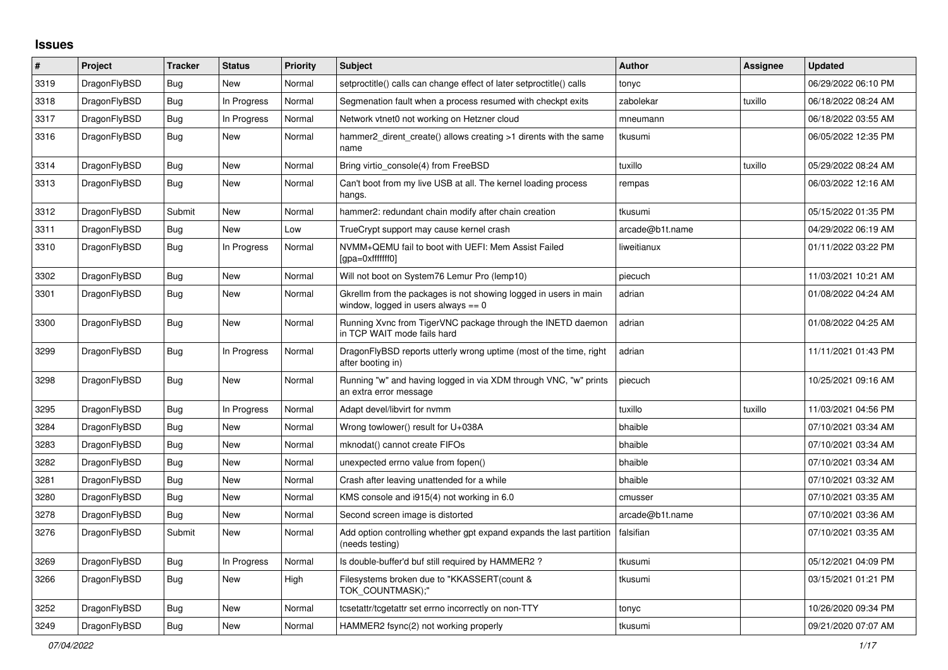## **Issues**

| #    | Project      | Tracker    | <b>Status</b> | Priority | <b>Subject</b>                                                                                            | <b>Author</b>   | Assignee | Updated             |
|------|--------------|------------|---------------|----------|-----------------------------------------------------------------------------------------------------------|-----------------|----------|---------------------|
| 3319 | DragonFlyBSD | <b>Bug</b> | <b>New</b>    | Normal   | setproctitle() calls can change effect of later setproctitle() calls                                      | tonyc           |          | 06/29/2022 06:10 PM |
| 3318 | DragonFlyBSD | <b>Bug</b> | In Progress   | Normal   | Segmenation fault when a process resumed with checkpt exits                                               | zabolekar       | tuxillo  | 06/18/2022 08:24 AM |
| 3317 | DragonFlyBSD | <b>Bug</b> | In Progress   | Normal   | Network vtnet0 not working on Hetzner cloud                                                               | mneumann        |          | 06/18/2022 03:55 AM |
| 3316 | DragonFlyBSD | Bug        | New           | Normal   | hammer2_dirent_create() allows creating >1 dirents with the same<br>name                                  | tkusumi         |          | 06/05/2022 12:35 PM |
| 3314 | DragonFlyBSD | <b>Bug</b> | <b>New</b>    | Normal   | Bring virtio console(4) from FreeBSD                                                                      | tuxillo         | tuxillo  | 05/29/2022 08:24 AM |
| 3313 | DragonFlyBSD | <b>Bug</b> | New           | Normal   | Can't boot from my live USB at all. The kernel loading process<br>hangs.                                  | rempas          |          | 06/03/2022 12:16 AM |
| 3312 | DragonFlyBSD | Submit     | <b>New</b>    | Normal   | hammer2: redundant chain modify after chain creation                                                      | tkusumi         |          | 05/15/2022 01:35 PM |
| 3311 | DragonFlyBSD | <b>Bug</b> | <b>New</b>    | Low      | TrueCrypt support may cause kernel crash                                                                  | arcade@b1t.name |          | 04/29/2022 06:19 AM |
| 3310 | DragonFlyBSD | <b>Bug</b> | In Progress   | Normal   | NVMM+QEMU fail to boot with UEFI: Mem Assist Failed<br>[gpa=0xfffffff0]                                   | liweitianux     |          | 01/11/2022 03:22 PM |
| 3302 | DragonFlyBSD | <b>Bug</b> | New           | Normal   | Will not boot on System76 Lemur Pro (lemp10)                                                              | piecuch         |          | 11/03/2021 10:21 AM |
| 3301 | DragonFlyBSD | Bug        | New           | Normal   | Gkrellm from the packages is not showing logged in users in main<br>window, logged in users always $== 0$ | adrian          |          | 01/08/2022 04:24 AM |
| 3300 | DragonFlyBSD | Bug        | <b>New</b>    | Normal   | Running Xvnc from TigerVNC package through the INETD daemon<br>in TCP WAIT mode fails hard                | adrian          |          | 01/08/2022 04:25 AM |
| 3299 | DragonFlyBSD | <b>Bug</b> | In Progress   | Normal   | DragonFlyBSD reports utterly wrong uptime (most of the time, right<br>after booting in)                   | adrian          |          | 11/11/2021 01:43 PM |
| 3298 | DragonFlyBSD | Bug        | New           | Normal   | Running "w" and having logged in via XDM through VNC, "w" prints<br>an extra error message                | piecuch         |          | 10/25/2021 09:16 AM |
| 3295 | DragonFlyBSD | Bug        | In Progress   | Normal   | Adapt devel/libvirt for nymm                                                                              | tuxillo         | tuxillo  | 11/03/2021 04:56 PM |
| 3284 | DragonFlyBSD | Bug        | <b>New</b>    | Normal   | Wrong towlower() result for U+038A                                                                        | bhaible         |          | 07/10/2021 03:34 AM |
| 3283 | DragonFlyBSD | <b>Bug</b> | New           | Normal   | mknodat() cannot create FIFOs                                                                             | bhaible         |          | 07/10/2021 03:34 AM |
| 3282 | DragonFlyBSD | <b>Bug</b> | New           | Normal   | unexpected errno value from fopen()                                                                       | bhaible         |          | 07/10/2021 03:34 AM |
| 3281 | DragonFlyBSD | <b>Bug</b> | New           | Normal   | Crash after leaving unattended for a while                                                                | bhaible         |          | 07/10/2021 03:32 AM |
| 3280 | DragonFlyBSD | Bug        | New           | Normal   | KMS console and i915(4) not working in 6.0                                                                | cmusser         |          | 07/10/2021 03:35 AM |
| 3278 | DragonFlyBSD | Bug        | New           | Normal   | Second screen image is distorted                                                                          | arcade@b1t.name |          | 07/10/2021 03:36 AM |
| 3276 | DragonFlyBSD | Submit     | New           | Normal   | Add option controlling whether gpt expand expands the last partition<br>(needs testing)                   | falsifian       |          | 07/10/2021 03:35 AM |
| 3269 | DragonFlyBSD | <b>Bug</b> | In Progress   | Normal   | Is double-buffer'd buf still required by HAMMER2?                                                         | tkusumi         |          | 05/12/2021 04:09 PM |
| 3266 | DragonFlyBSD | Bug        | New           | High     | Filesystems broken due to "KKASSERT(count &<br>TOK_COUNTMASK);"                                           | tkusumi         |          | 03/15/2021 01:21 PM |
| 3252 | DragonFlyBSD | <b>Bug</b> | New           | Normal   | tcsetattr/tcgetattr set errno incorrectly on non-TTY                                                      | tonyc           |          | 10/26/2020 09:34 PM |
| 3249 | DragonFlyBSD | <b>Bug</b> | New           | Normal   | HAMMER2 fsync(2) not working properly                                                                     | tkusumi         |          | 09/21/2020 07:07 AM |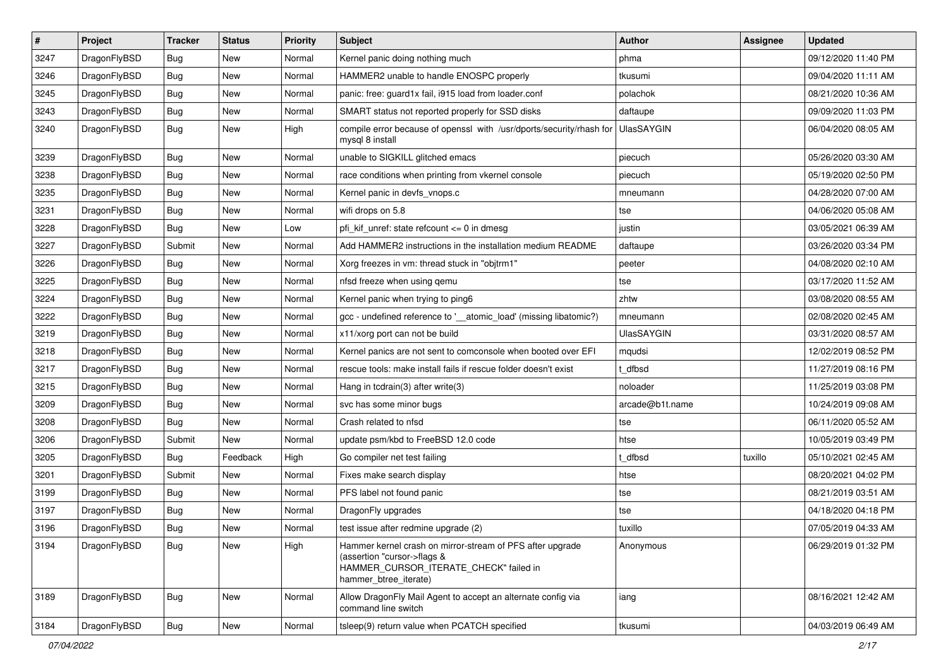| $\vert$ # | Project      | <b>Tracker</b> | <b>Status</b> | <b>Priority</b> | Subject                                                                                                                                                     | Author            | Assignee | <b>Updated</b>      |
|-----------|--------------|----------------|---------------|-----------------|-------------------------------------------------------------------------------------------------------------------------------------------------------------|-------------------|----------|---------------------|
| 3247      | DragonFlyBSD | <b>Bug</b>     | <b>New</b>    | Normal          | Kernel panic doing nothing much                                                                                                                             | phma              |          | 09/12/2020 11:40 PM |
| 3246      | DragonFlyBSD | Bug            | <b>New</b>    | Normal          | HAMMER2 unable to handle ENOSPC properly                                                                                                                    | tkusumi           |          | 09/04/2020 11:11 AM |
| 3245      | DragonFlyBSD | <b>Bug</b>     | <b>New</b>    | Normal          | panic: free: guard1x fail, i915 load from loader.conf                                                                                                       | polachok          |          | 08/21/2020 10:36 AM |
| 3243      | DragonFlyBSD | Bug            | New           | Normal          | SMART status not reported properly for SSD disks                                                                                                            | daftaupe          |          | 09/09/2020 11:03 PM |
| 3240      | DragonFlyBSD | Bug            | New           | High            | compile error because of openssl with /usr/dports/security/rhash for<br>mysql 8 install                                                                     | <b>UlasSAYGIN</b> |          | 06/04/2020 08:05 AM |
| 3239      | DragonFlyBSD | Bug            | New           | Normal          | unable to SIGKILL glitched emacs                                                                                                                            | piecuch           |          | 05/26/2020 03:30 AM |
| 3238      | DragonFlyBSD | <b>Bug</b>     | New           | Normal          | race conditions when printing from vkernel console                                                                                                          | piecuch           |          | 05/19/2020 02:50 PM |
| 3235      | DragonFlyBSD | Bug            | <b>New</b>    | Normal          | Kernel panic in devfs_vnops.c                                                                                                                               | mneumann          |          | 04/28/2020 07:00 AM |
| 3231      | DragonFlyBSD | Bug            | New           | Normal          | wifi drops on 5.8                                                                                                                                           | tse               |          | 04/06/2020 05:08 AM |
| 3228      | DragonFlyBSD | <b>Bug</b>     | <b>New</b>    | Low             | pfi kif unref: state refcount $\leq$ 0 in dmesg                                                                                                             | justin            |          | 03/05/2021 06:39 AM |
| 3227      | DragonFlyBSD | Submit         | New           | Normal          | Add HAMMER2 instructions in the installation medium README                                                                                                  | daftaupe          |          | 03/26/2020 03:34 PM |
| 3226      | DragonFlyBSD | <b>Bug</b>     | New           | Normal          | Xorg freezes in vm: thread stuck in "objtrm1"                                                                                                               | peeter            |          | 04/08/2020 02:10 AM |
| 3225      | DragonFlyBSD | Bug            | New           | Normal          | nfsd freeze when using qemu                                                                                                                                 | tse               |          | 03/17/2020 11:52 AM |
| 3224      | DragonFlyBSD | Bug            | <b>New</b>    | Normal          | Kernel panic when trying to ping6                                                                                                                           | zhtw              |          | 03/08/2020 08:55 AM |
| 3222      | DragonFlyBSD | <b>Bug</b>     | New           | Normal          | gcc - undefined reference to '__atomic_load' (missing libatomic?)                                                                                           | mneumann          |          | 02/08/2020 02:45 AM |
| 3219      | DragonFlyBSD | Bug            | <b>New</b>    | Normal          | x11/xorg port can not be build                                                                                                                              | UlasSAYGIN        |          | 03/31/2020 08:57 AM |
| 3218      | DragonFlyBSD | Bug            | <b>New</b>    | Normal          | Kernel panics are not sent to comconsole when booted over EFI                                                                                               | mqudsi            |          | 12/02/2019 08:52 PM |
| 3217      | DragonFlyBSD | <b>Bug</b>     | New           | Normal          | rescue tools: make install fails if rescue folder doesn't exist                                                                                             | t dfbsd           |          | 11/27/2019 08:16 PM |
| 3215      | DragonFlyBSD | <b>Bug</b>     | <b>New</b>    | Normal          | Hang in tcdrain(3) after write(3)                                                                                                                           | noloader          |          | 11/25/2019 03:08 PM |
| 3209      | DragonFlyBSD | <b>Bug</b>     | New           | Normal          | svc has some minor bugs                                                                                                                                     | arcade@b1t.name   |          | 10/24/2019 09:08 AM |
| 3208      | DragonFlyBSD | Bug            | <b>New</b>    | Normal          | Crash related to nfsd                                                                                                                                       | tse               |          | 06/11/2020 05:52 AM |
| 3206      | DragonFlyBSD | Submit         | New           | Normal          | update psm/kbd to FreeBSD 12.0 code                                                                                                                         | htse              |          | 10/05/2019 03:49 PM |
| 3205      | DragonFlyBSD | <b>Bug</b>     | Feedback      | High            | Go compiler net test failing                                                                                                                                | t dfbsd           | tuxillo  | 05/10/2021 02:45 AM |
| 3201      | DragonFlyBSD | Submit         | <b>New</b>    | Normal          | Fixes make search display                                                                                                                                   | htse              |          | 08/20/2021 04:02 PM |
| 3199      | DragonFlyBSD | <b>Bug</b>     | New           | Normal          | PFS label not found panic                                                                                                                                   | tse               |          | 08/21/2019 03:51 AM |
| 3197      | DragonFlyBSD | <b>Bug</b>     | New           | Normal          | DragonFly upgrades                                                                                                                                          | tse               |          | 04/18/2020 04:18 PM |
| 3196      | DragonFlyBSD | <b>Bug</b>     | New           | Normal          | test issue after redmine upgrade (2)                                                                                                                        | tuxillo           |          | 07/05/2019 04:33 AM |
| 3194      | DragonFlyBSD | <b>Bug</b>     | New           | High            | Hammer kernel crash on mirror-stream of PFS after upgrade<br>(assertion "cursor->flags &<br>HAMMER_CURSOR_ITERATE_CHECK" failed in<br>hammer_btree_iterate) | Anonymous         |          | 06/29/2019 01:32 PM |
| 3189      | DragonFlyBSD | Bug            | New           | Normal          | Allow DragonFly Mail Agent to accept an alternate config via<br>command line switch                                                                         | iang              |          | 08/16/2021 12:42 AM |
| 3184      | DragonFlyBSD | Bug            | New           | Normal          | tsleep(9) return value when PCATCH specified                                                                                                                | tkusumi           |          | 04/03/2019 06:49 AM |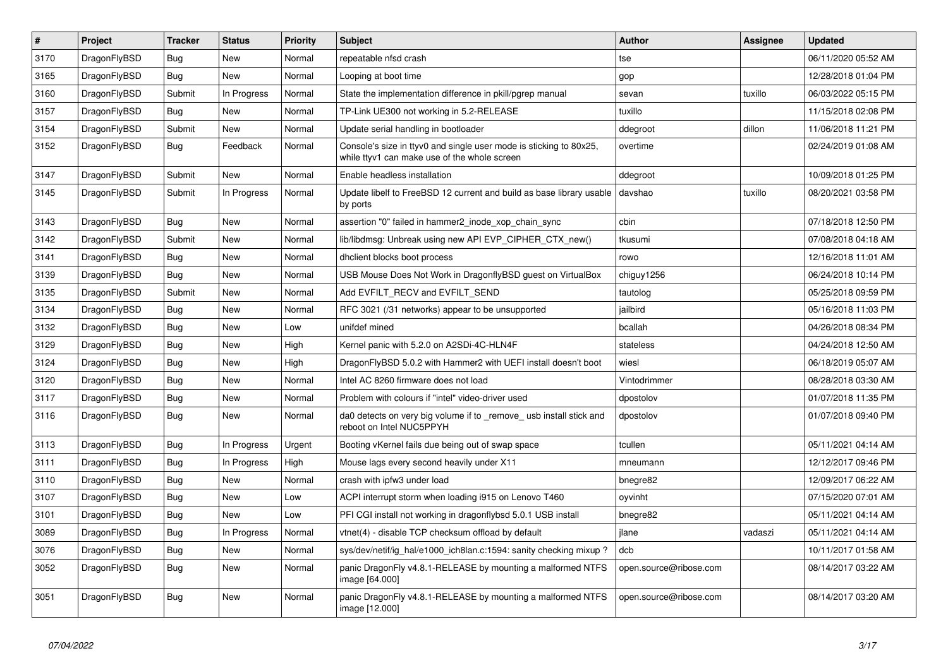| $\vert$ # | <b>Project</b> | <b>Tracker</b> | <b>Status</b> | <b>Priority</b> | <b>Subject</b>                                                                                                     | <b>Author</b>          | <b>Assignee</b> | <b>Updated</b>      |
|-----------|----------------|----------------|---------------|-----------------|--------------------------------------------------------------------------------------------------------------------|------------------------|-----------------|---------------------|
| 3170      | DragonFlyBSD   | <b>Bug</b>     | <b>New</b>    | Normal          | repeatable nfsd crash                                                                                              | tse                    |                 | 06/11/2020 05:52 AM |
| 3165      | DragonFlyBSD   | Bug            | <b>New</b>    | Normal          | Looping at boot time                                                                                               | gop                    |                 | 12/28/2018 01:04 PM |
| 3160      | DragonFlyBSD   | Submit         | In Progress   | Normal          | State the implementation difference in pkill/pgrep manual                                                          | sevan                  | tuxillo         | 06/03/2022 05:15 PM |
| 3157      | DragonFlyBSD   | Bug            | <b>New</b>    | Normal          | TP-Link UE300 not working in 5.2-RELEASE                                                                           | tuxillo                |                 | 11/15/2018 02:08 PM |
| 3154      | DragonFlyBSD   | Submit         | <b>New</b>    | Normal          | Update serial handling in bootloader                                                                               | ddegroot               | dillon          | 11/06/2018 11:21 PM |
| 3152      | DragonFlyBSD   | <b>Bug</b>     | Feedback      | Normal          | Console's size in ttyv0 and single user mode is sticking to 80x25,<br>while ttyv1 can make use of the whole screen | overtime               |                 | 02/24/2019 01:08 AM |
| 3147      | DragonFlyBSD   | Submit         | <b>New</b>    | Normal          | Enable headless installation                                                                                       | ddegroot               |                 | 10/09/2018 01:25 PM |
| 3145      | DragonFlyBSD   | Submit         | In Progress   | Normal          | Update libelf to FreeBSD 12 current and build as base library usable<br>by ports                                   | davshao                | tuxillo         | 08/20/2021 03:58 PM |
| 3143      | DragonFlyBSD   | Bug            | <b>New</b>    | Normal          | assertion "0" failed in hammer2 inode xop chain sync                                                               | cbin                   |                 | 07/18/2018 12:50 PM |
| 3142      | DragonFlyBSD   | Submit         | <b>New</b>    | Normal          | lib/libdmsg: Unbreak using new API EVP_CIPHER_CTX_new()                                                            | tkusumi                |                 | 07/08/2018 04:18 AM |
| 3141      | DragonFlyBSD   | <b>Bug</b>     | New           | Normal          | dhclient blocks boot process                                                                                       | rowo                   |                 | 12/16/2018 11:01 AM |
| 3139      | DragonFlyBSD   | <b>Bug</b>     | <b>New</b>    | Normal          | USB Mouse Does Not Work in DragonflyBSD guest on VirtualBox                                                        | chiguy1256             |                 | 06/24/2018 10:14 PM |
| 3135      | DragonFlyBSD   | Submit         | <b>New</b>    | Normal          | Add EVFILT RECV and EVFILT SEND                                                                                    | tautolog               |                 | 05/25/2018 09:59 PM |
| 3134      | DragonFlyBSD   | Bug            | New           | Normal          | RFC 3021 (/31 networks) appear to be unsupported                                                                   | jailbird               |                 | 05/16/2018 11:03 PM |
| 3132      | DragonFlyBSD   | <b>Bug</b>     | <b>New</b>    | Low             | unifdef mined                                                                                                      | bcallah                |                 | 04/26/2018 08:34 PM |
| 3129      | DragonFlyBSD   | <b>Bug</b>     | <b>New</b>    | High            | Kernel panic with 5.2.0 on A2SDi-4C-HLN4F                                                                          | stateless              |                 | 04/24/2018 12:50 AM |
| 3124      | DragonFlyBSD   | <b>Bug</b>     | <b>New</b>    | High            | DragonFlyBSD 5.0.2 with Hammer2 with UEFI install doesn't boot                                                     | wiesl                  |                 | 06/18/2019 05:07 AM |
| 3120      | DragonFlyBSD   | <b>Bug</b>     | <b>New</b>    | Normal          | Intel AC 8260 firmware does not load                                                                               | Vintodrimmer           |                 | 08/28/2018 03:30 AM |
| 3117      | DragonFlyBSD   | <b>Bug</b>     | <b>New</b>    | Normal          | Problem with colours if "intel" video-driver used                                                                  | dpostolov              |                 | 01/07/2018 11:35 PM |
| 3116      | DragonFlyBSD   | <b>Bug</b>     | <b>New</b>    | Normal          | da0 detects on very big volume if to remove usb install stick and<br>reboot on Intel NUC5PPYH                      | dpostolov              |                 | 01/07/2018 09:40 PM |
| 3113      | DragonFlyBSD   | <b>Bug</b>     | In Progress   | Urgent          | Booting vKernel fails due being out of swap space                                                                  | tcullen                |                 | 05/11/2021 04:14 AM |
| 3111      | DragonFlyBSD   | <b>Bug</b>     | In Progress   | High            | Mouse lags every second heavily under X11                                                                          | mneumann               |                 | 12/12/2017 09:46 PM |
| 3110      | DragonFlyBSD   | Bug            | New           | Normal          | crash with ipfw3 under load                                                                                        | bnegre82               |                 | 12/09/2017 06:22 AM |
| 3107      | DragonFlyBSD   | Bug            | <b>New</b>    | Low             | ACPI interrupt storm when loading i915 on Lenovo T460                                                              | oyvinht                |                 | 07/15/2020 07:01 AM |
| 3101      | DragonFlyBSD   | <b>Bug</b>     | New           | Low             | PFI CGI install not working in dragonflybsd 5.0.1 USB install                                                      | bnegre82               |                 | 05/11/2021 04:14 AM |
| 3089      | DragonFlyBSD   | Bug            | In Progress   | Normal          | vtnet(4) - disable TCP checksum offload by default                                                                 | jlane                  | vadaszi         | 05/11/2021 04:14 AM |
| 3076      | DragonFlyBSD   | <b>Bug</b>     | <b>New</b>    | Normal          | sys/dev/netif/ig hal/e1000 ich8lan.c:1594: sanity checking mixup?                                                  | dcb                    |                 | 10/11/2017 01:58 AM |
| 3052      | DragonFlyBSD   | Bug            | <b>New</b>    | Normal          | panic DragonFly v4.8.1-RELEASE by mounting a malformed NTFS<br>image [64.000]                                      | open.source@ribose.com |                 | 08/14/2017 03:22 AM |
| 3051      | DragonFlyBSD   | Bug            | New           | Normal          | panic DragonFly v4.8.1-RELEASE by mounting a malformed NTFS<br>image [12.000]                                      | open.source@ribose.com |                 | 08/14/2017 03:20 AM |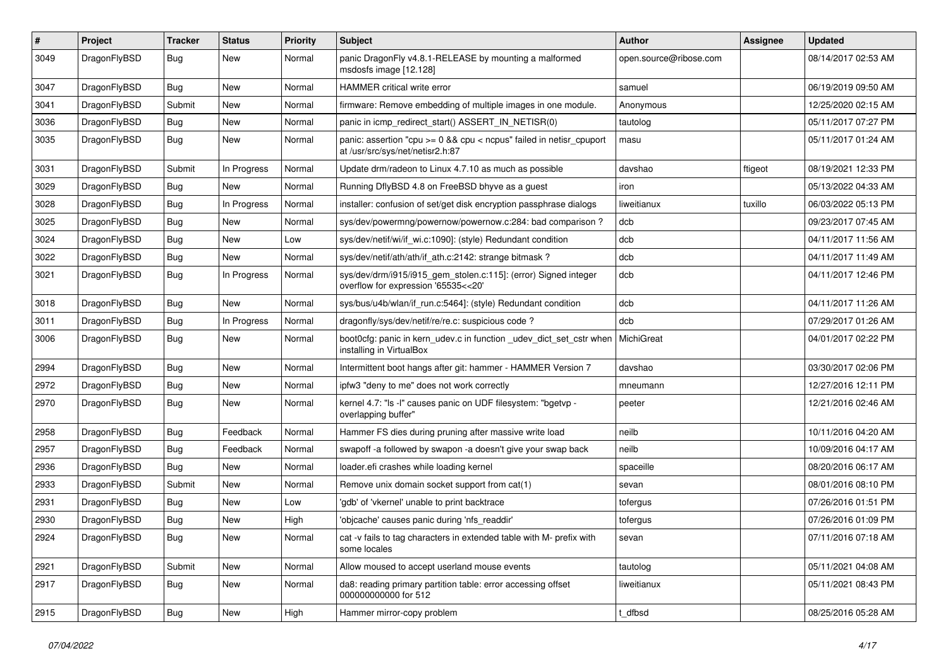| #    | Project      | <b>Tracker</b> | <b>Status</b> | <b>Priority</b> | Subject                                                                                                 | <b>Author</b>          | Assignee | <b>Updated</b>      |
|------|--------------|----------------|---------------|-----------------|---------------------------------------------------------------------------------------------------------|------------------------|----------|---------------------|
| 3049 | DragonFlyBSD | Bug            | New           | Normal          | panic DragonFly v4.8.1-RELEASE by mounting a malformed<br>msdosfs image [12.128]                        | open.source@ribose.com |          | 08/14/2017 02:53 AM |
| 3047 | DragonFlyBSD | <b>Bug</b>     | New           | Normal          | HAMMER critical write error                                                                             | samuel                 |          | 06/19/2019 09:50 AM |
| 3041 | DragonFlyBSD | Submit         | <b>New</b>    | Normal          | firmware: Remove embedding of multiple images in one module.                                            | Anonymous              |          | 12/25/2020 02:15 AM |
| 3036 | DragonFlyBSD | <b>Bug</b>     | New           | Normal          | panic in icmp_redirect_start() ASSERT_IN_NETISR(0)                                                      | tautolog               |          | 05/11/2017 07:27 PM |
| 3035 | DragonFlyBSD | <b>Bug</b>     | New           | Normal          | panic: assertion "cpu >= 0 && cpu < ncpus" failed in netisr_cpuport<br>at /usr/src/sys/net/netisr2.h:87 | masu                   |          | 05/11/2017 01:24 AM |
| 3031 | DragonFlyBSD | Submit         | In Progress   | Normal          | Update drm/radeon to Linux 4.7.10 as much as possible                                                   | davshao                | ftigeot  | 08/19/2021 12:33 PM |
| 3029 | DragonFlyBSD | <b>Bug</b>     | New           | Normal          | Running DflyBSD 4.8 on FreeBSD bhyve as a guest                                                         | iron                   |          | 05/13/2022 04:33 AM |
| 3028 | DragonFlyBSD | <b>Bug</b>     | In Progress   | Normal          | installer: confusion of set/get disk encryption passphrase dialogs                                      | liweitianux            | tuxillo  | 06/03/2022 05:13 PM |
| 3025 | DragonFlyBSD | <b>Bug</b>     | New           | Normal          | sys/dev/powermng/powernow/powernow.c:284: bad comparison?                                               | dcb                    |          | 09/23/2017 07:45 AM |
| 3024 | DragonFlyBSD | <b>Bug</b>     | New           | Low             | sys/dev/netif/wi/if_wi.c:1090]: (style) Redundant condition                                             | dcb                    |          | 04/11/2017 11:56 AM |
| 3022 | DragonFlyBSD | <b>Bug</b>     | New           | Normal          | sys/dev/netif/ath/ath/if_ath.c:2142: strange bitmask?                                                   | dcb                    |          | 04/11/2017 11:49 AM |
| 3021 | DragonFlyBSD | <b>Bug</b>     | In Progress   | Normal          | sys/dev/drm/i915/i915_gem_stolen.c:115]: (error) Signed integer<br>overflow for expression '65535<<20'  | dcb                    |          | 04/11/2017 12:46 PM |
| 3018 | DragonFlyBSD | Bug            | New           | Normal          | sys/bus/u4b/wlan/if_run.c:5464]: (style) Redundant condition                                            | dcb                    |          | 04/11/2017 11:26 AM |
| 3011 | DragonFlyBSD | Bug            | In Progress   | Normal          | dragonfly/sys/dev/netif/re/re.c: suspicious code?                                                       | dcb                    |          | 07/29/2017 01:26 AM |
| 3006 | DragonFlyBSD | Bug            | New           | Normal          | boot0cfg: panic in kern_udev.c in function _udev_dict_set_cstr when<br>installing in VirtualBox         | MichiGreat             |          | 04/01/2017 02:22 PM |
| 2994 | DragonFlyBSD | Bug            | New           | Normal          | Intermittent boot hangs after git: hammer - HAMMER Version 7                                            | davshao                |          | 03/30/2017 02:06 PM |
| 2972 | DragonFlyBSD | Bug            | New           | Normal          | ipfw3 "deny to me" does not work correctly                                                              | mneumann               |          | 12/27/2016 12:11 PM |
| 2970 | DragonFlyBSD | Bug            | New           | Normal          | kernel 4.7: "Is -l" causes panic on UDF filesystem: "bgetvp -<br>overlapping buffer"                    | peeter                 |          | 12/21/2016 02:46 AM |
| 2958 | DragonFlyBSD | Bug            | Feedback      | Normal          | Hammer FS dies during pruning after massive write load                                                  | neilb                  |          | 10/11/2016 04:20 AM |
| 2957 | DragonFlyBSD | Bug            | Feedback      | Normal          | swapoff -a followed by swapon -a doesn't give your swap back                                            | neilb                  |          | 10/09/2016 04:17 AM |
| 2936 | DragonFlyBSD | Bug            | <b>New</b>    | Normal          | loader.efi crashes while loading kernel                                                                 | spaceille              |          | 08/20/2016 06:17 AM |
| 2933 | DragonFlyBSD | Submit         | New           | Normal          | Remove unix domain socket support from cat(1)                                                           | sevan                  |          | 08/01/2016 08:10 PM |
| 2931 | DragonFlyBSD | Bug            | New           | Low             | 'gdb' of 'vkernel' unable to print backtrace                                                            | tofergus               |          | 07/26/2016 01:51 PM |
| 2930 | DragonFlyBSD | Bug            | New           | High            | 'objcache' causes panic during 'nfs readdir'                                                            | tofergus               |          | 07/26/2016 01:09 PM |
| 2924 | DragonFlyBSD | <b>Bug</b>     | New           | Normal          | cat -v fails to tag characters in extended table with M- prefix with<br>some locales                    | sevan                  |          | 07/11/2016 07:18 AM |
| 2921 | DragonFlyBSD | Submit         | New           | Normal          | Allow moused to accept userland mouse events                                                            | tautolog               |          | 05/11/2021 04:08 AM |
| 2917 | DragonFlyBSD | <b>Bug</b>     | New           | Normal          | da8: reading primary partition table: error accessing offset<br>000000000000 for 512                    | liweitianux            |          | 05/11/2021 08:43 PM |
| 2915 | DragonFlyBSD | <b>Bug</b>     | New           | High            | Hammer mirror-copy problem                                                                              | t_dfbsd                |          | 08/25/2016 05:28 AM |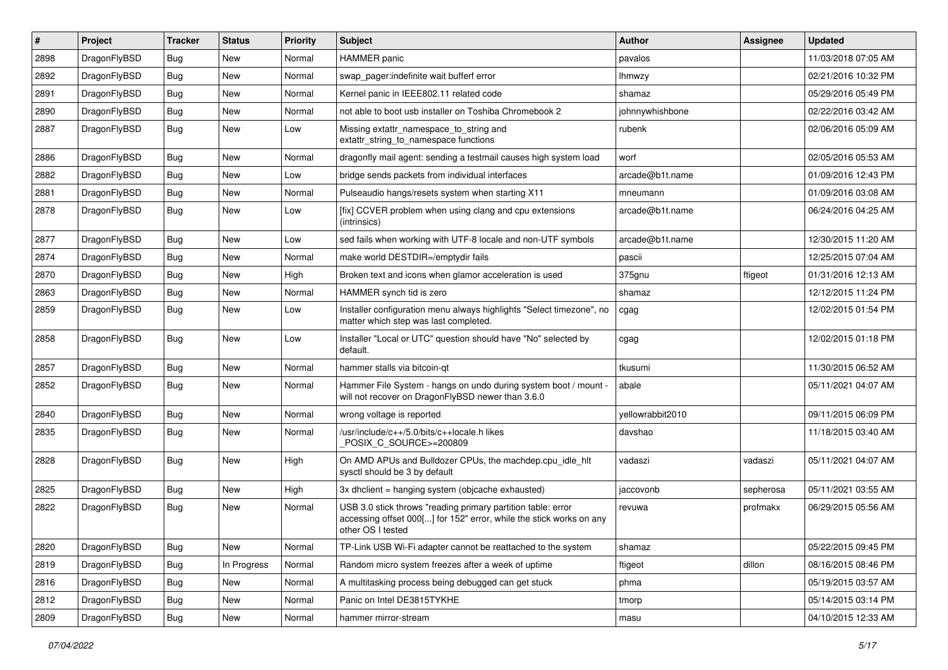| #    | Project      | <b>Tracker</b> | <b>Status</b> | <b>Priority</b> | Subject                                                                                                                                                  | Author           | Assignee  | <b>Updated</b>      |
|------|--------------|----------------|---------------|-----------------|----------------------------------------------------------------------------------------------------------------------------------------------------------|------------------|-----------|---------------------|
| 2898 | DragonFlyBSD | Bug            | <b>New</b>    | Normal          | <b>HAMMER</b> panic                                                                                                                                      | pavalos          |           | 11/03/2018 07:05 AM |
| 2892 | DragonFlyBSD | Bug            | <b>New</b>    | Normal          | swap_pager:indefinite wait bufferf error                                                                                                                 | <b>Ihmwzy</b>    |           | 02/21/2016 10:32 PM |
| 2891 | DragonFlyBSD | <b>Bug</b>     | New           | Normal          | Kernel panic in IEEE802.11 related code                                                                                                                  | shamaz           |           | 05/29/2016 05:49 PM |
| 2890 | DragonFlyBSD | Bug            | <b>New</b>    | Normal          | not able to boot usb installer on Toshiba Chromebook 2                                                                                                   | johnnywhishbone  |           | 02/22/2016 03:42 AM |
| 2887 | DragonFlyBSD | Bug            | New           | Low             | Missing extattr_namespace_to_string and<br>extattr_string_to_namespace functions                                                                         | rubenk           |           | 02/06/2016 05:09 AM |
| 2886 | DragonFlyBSD | Bug            | New           | Normal          | dragonfly mail agent: sending a testmail causes high system load                                                                                         | worf             |           | 02/05/2016 05:53 AM |
| 2882 | DragonFlyBSD | <b>Bug</b>     | <b>New</b>    | Low             | bridge sends packets from individual interfaces                                                                                                          | arcade@b1t.name  |           | 01/09/2016 12:43 PM |
| 2881 | DragonFlyBSD | Bug            | <b>New</b>    | Normal          | Pulseaudio hangs/resets system when starting X11                                                                                                         | mneumann         |           | 01/09/2016 03:08 AM |
| 2878 | DragonFlyBSD | Bug            | New           | Low             | [fix] CCVER problem when using clang and cpu extensions<br>(intrinsics)                                                                                  | arcade@b1t.name  |           | 06/24/2016 04:25 AM |
| 2877 | DragonFlyBSD | Bug            | <b>New</b>    | Low             | sed fails when working with UTF-8 locale and non-UTF symbols                                                                                             | arcade@b1t.name  |           | 12/30/2015 11:20 AM |
| 2874 | DragonFlyBSD | <b>Bug</b>     | New           | Normal          | make world DESTDIR=/emptydir fails                                                                                                                       | pascii           |           | 12/25/2015 07:04 AM |
| 2870 | DragonFlyBSD | Bug            | <b>New</b>    | High            | Broken text and icons when glamor acceleration is used                                                                                                   | 375gnu           | ftigeot   | 01/31/2016 12:13 AM |
| 2863 | DragonFlyBSD | Bug            | <b>New</b>    | Normal          | HAMMER synch tid is zero                                                                                                                                 | shamaz           |           | 12/12/2015 11:24 PM |
| 2859 | DragonFlyBSD | Bug            | New           | Low             | Installer configuration menu always highlights "Select timezone", no<br>matter which step was last completed.                                            | cgag             |           | 12/02/2015 01:54 PM |
| 2858 | DragonFlyBSD | <b>Bug</b>     | New           | Low             | Installer "Local or UTC" question should have "No" selected by<br>default.                                                                               | cgag             |           | 12/02/2015 01:18 PM |
| 2857 | DragonFlyBSD | Bug            | <b>New</b>    | Normal          | hammer stalls via bitcoin-qt                                                                                                                             | tkusumi          |           | 11/30/2015 06:52 AM |
| 2852 | DragonFlyBSD | Bug            | New           | Normal          | Hammer File System - hangs on undo during system boot / mount -<br>will not recover on DragonFlyBSD newer than 3.6.0                                     | abale            |           | 05/11/2021 04:07 AM |
| 2840 | DragonFlyBSD | Bug            | New           | Normal          | wrong voltage is reported                                                                                                                                | yellowrabbit2010 |           | 09/11/2015 06:09 PM |
| 2835 | DragonFlyBSD | <b>Bug</b>     | New           | Normal          | /usr/include/c++/5.0/bits/c++locale.h likes<br>POSIX_C_SOURCE>=200809                                                                                    | davshao          |           | 11/18/2015 03:40 AM |
| 2828 | DragonFlyBSD | <b>Bug</b>     | New           | High            | On AMD APUs and Bulldozer CPUs, the machdep.cpu_idle_hlt<br>sysctl should be 3 by default                                                                | vadaszi          | vadaszi   | 05/11/2021 04:07 AM |
| 2825 | DragonFlyBSD | Bug            | <b>New</b>    | High            | 3x dhclient = hanging system (objcache exhausted)                                                                                                        | jaccovonb        | sepherosa | 05/11/2021 03:55 AM |
| 2822 | DragonFlyBSD | Bug            | <b>New</b>    | Normal          | USB 3.0 stick throws "reading primary partition table: error<br>accessing offset 000[] for 152" error, while the stick works on any<br>other OS I tested | revuwa           | profmakx  | 06/29/2015 05:56 AM |
| 2820 | DragonFlyBSD | Bug            | New           | Normal          | TP-Link USB Wi-Fi adapter cannot be reattached to the system                                                                                             | shamaz           |           | 05/22/2015 09:45 PM |
| 2819 | DragonFlyBSD | Bug            | In Progress   | Normal          | Random micro system freezes after a week of uptime                                                                                                       | ftigeot          | dillon    | 08/16/2015 08:46 PM |
| 2816 | DragonFlyBSD | <b>Bug</b>     | <b>New</b>    | Normal          | A multitasking process being debugged can get stuck                                                                                                      | phma             |           | 05/19/2015 03:57 AM |
| 2812 | DragonFlyBSD | <b>Bug</b>     | New           | Normal          | Panic on Intel DE3815TYKHE                                                                                                                               | tmorp            |           | 05/14/2015 03:14 PM |
| 2809 | DragonFlyBSD | <b>Bug</b>     | New           | Normal          | hammer mirror-stream                                                                                                                                     | masu             |           | 04/10/2015 12:33 AM |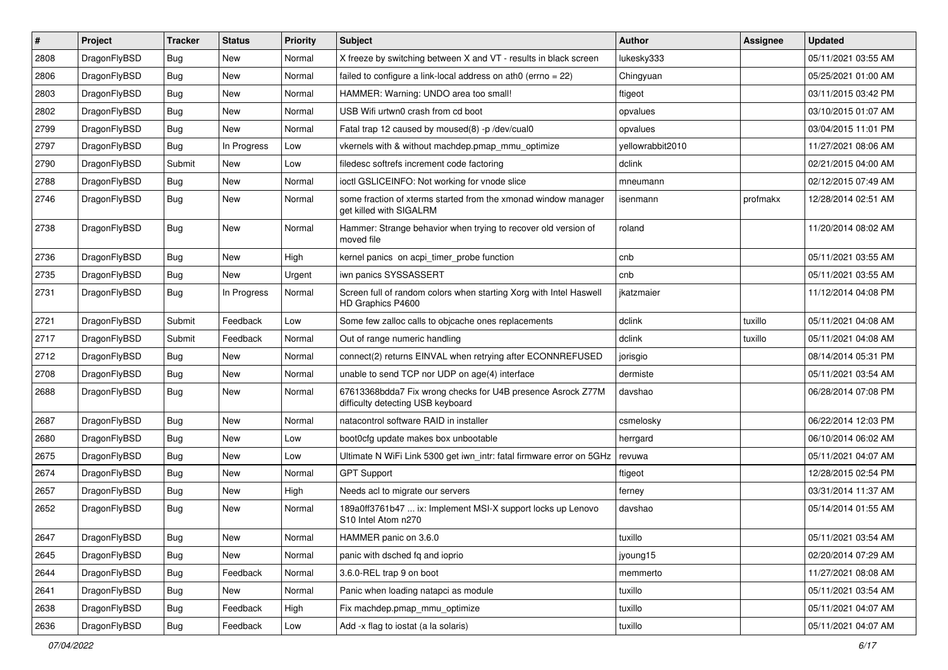| $\pmb{\#}$ | Project      | <b>Tracker</b> | <b>Status</b> | <b>Priority</b> | Subject                                                                                          | <b>Author</b>    | <b>Assignee</b> | <b>Updated</b>      |
|------------|--------------|----------------|---------------|-----------------|--------------------------------------------------------------------------------------------------|------------------|-----------------|---------------------|
| 2808       | DragonFlyBSD | Bug            | New           | Normal          | X freeze by switching between X and VT - results in black screen                                 | lukesky333       |                 | 05/11/2021 03:55 AM |
| 2806       | DragonFlyBSD | Bug            | <b>New</b>    | Normal          | failed to configure a link-local address on ath0 (errno = 22)                                    | Chingyuan        |                 | 05/25/2021 01:00 AM |
| 2803       | DragonFlyBSD | Bug            | New           | Normal          | HAMMER: Warning: UNDO area too small!                                                            | ftigeot          |                 | 03/11/2015 03:42 PM |
| 2802       | DragonFlyBSD | Bug            | <b>New</b>    | Normal          | USB Wifi urtwn0 crash from cd boot                                                               | opvalues         |                 | 03/10/2015 01:07 AM |
| 2799       | DragonFlyBSD | Bug            | New           | Normal          | Fatal trap 12 caused by moused(8) -p /dev/cual0                                                  | opvalues         |                 | 03/04/2015 11:01 PM |
| 2797       | DragonFlyBSD | <b>Bug</b>     | In Progress   | Low             | vkernels with & without machdep.pmap mmu optimize                                                | yellowrabbit2010 |                 | 11/27/2021 08:06 AM |
| 2790       | DragonFlyBSD | Submit         | New           | Low             | filedesc softrefs increment code factoring                                                       | dclink           |                 | 02/21/2015 04:00 AM |
| 2788       | DragonFlyBSD | Bug            | <b>New</b>    | Normal          | ioctl GSLICEINFO: Not working for vnode slice                                                    | mneumann         |                 | 02/12/2015 07:49 AM |
| 2746       | DragonFlyBSD | Bug            | New           | Normal          | some fraction of xterms started from the xmonad window manager<br>get killed with SIGALRM        | isenmann         | profmakx        | 12/28/2014 02:51 AM |
| 2738       | DragonFlyBSD | Bug            | <b>New</b>    | Normal          | Hammer: Strange behavior when trying to recover old version of<br>moved file                     | roland           |                 | 11/20/2014 08:02 AM |
| 2736       | DragonFlyBSD | Bug            | <b>New</b>    | High            | kernel panics on acpi timer probe function                                                       | cnb              |                 | 05/11/2021 03:55 AM |
| 2735       | DragonFlyBSD | Bug            | New           | Urgent          | iwn panics SYSSASSERT                                                                            | cnb              |                 | 05/11/2021 03:55 AM |
| 2731       | DragonFlyBSD | Bug            | In Progress   | Normal          | Screen full of random colors when starting Xorg with Intel Haswell<br>HD Graphics P4600          | ikatzmaier       |                 | 11/12/2014 04:08 PM |
| 2721       | DragonFlyBSD | Submit         | Feedback      | Low             | Some few zalloc calls to objcache ones replacements                                              | dclink           | tuxillo         | 05/11/2021 04:08 AM |
| 2717       | DragonFlyBSD | Submit         | Feedback      | Normal          | Out of range numeric handling                                                                    | dclink           | tuxillo         | 05/11/2021 04:08 AM |
| 2712       | DragonFlyBSD | Bug            | <b>New</b>    | Normal          | connect(2) returns EINVAL when retrying after ECONNREFUSED                                       | jorisgio         |                 | 08/14/2014 05:31 PM |
| 2708       | DragonFlyBSD | Bug            | New           | Normal          | unable to send TCP nor UDP on age(4) interface                                                   | dermiste         |                 | 05/11/2021 03:54 AM |
| 2688       | DragonFlyBSD | Bug            | New           | Normal          | 67613368bdda7 Fix wrong checks for U4B presence Asrock Z77M<br>difficulty detecting USB keyboard | davshao          |                 | 06/28/2014 07:08 PM |
| 2687       | DragonFlyBSD | Bug            | <b>New</b>    | Normal          | natacontrol software RAID in installer                                                           | csmelosky        |                 | 06/22/2014 12:03 PM |
| 2680       | DragonFlyBSD | Bug            | New           | Low             | boot0cfg update makes box unbootable                                                             | herrgard         |                 | 06/10/2014 06:02 AM |
| 2675       | DragonFlyBSD | Bug            | New           | Low             | Ultimate N WiFi Link 5300 get iwn_intr: fatal firmware error on 5GHz                             | revuwa           |                 | 05/11/2021 04:07 AM |
| 2674       | DragonFlyBSD | Bug            | New           | Normal          | <b>GPT Support</b>                                                                               | ftigeot          |                 | 12/28/2015 02:54 PM |
| 2657       | DragonFlyBSD | Bug            | <b>New</b>    | High            | Needs acl to migrate our servers                                                                 | ferney           |                 | 03/31/2014 11:37 AM |
| 2652       | DragonFlyBSD | Bug            | New           | Normal          | 189a0ff3761b47  ix: Implement MSI-X support locks up Lenovo<br>S10 Intel Atom n270               | davshao          |                 | 05/14/2014 01:55 AM |
| 2647       | DragonFlyBSD | Bug            | New           | Normal          | HAMMER panic on 3.6.0                                                                            | tuxillo          |                 | 05/11/2021 03:54 AM |
| 2645       | DragonFlyBSD | Bug            | New           | Normal          | panic with dsched fq and ioprio                                                                  | jyoung15         |                 | 02/20/2014 07:29 AM |
| 2644       | DragonFlyBSD | <b>Bug</b>     | Feedback      | Normal          | 3.6.0-REL trap 9 on boot                                                                         | memmerto         |                 | 11/27/2021 08:08 AM |
| 2641       | DragonFlyBSD | <b>Bug</b>     | New           | Normal          | Panic when loading natapci as module                                                             | tuxillo          |                 | 05/11/2021 03:54 AM |
| 2638       | DragonFlyBSD | Bug            | Feedback      | High            | Fix machdep.pmap mmu optimize                                                                    | tuxillo          |                 | 05/11/2021 04:07 AM |
| 2636       | DragonFlyBSD | <b>Bug</b>     | Feedback      | Low             | Add -x flag to iostat (a la solaris)                                                             | tuxillo          |                 | 05/11/2021 04:07 AM |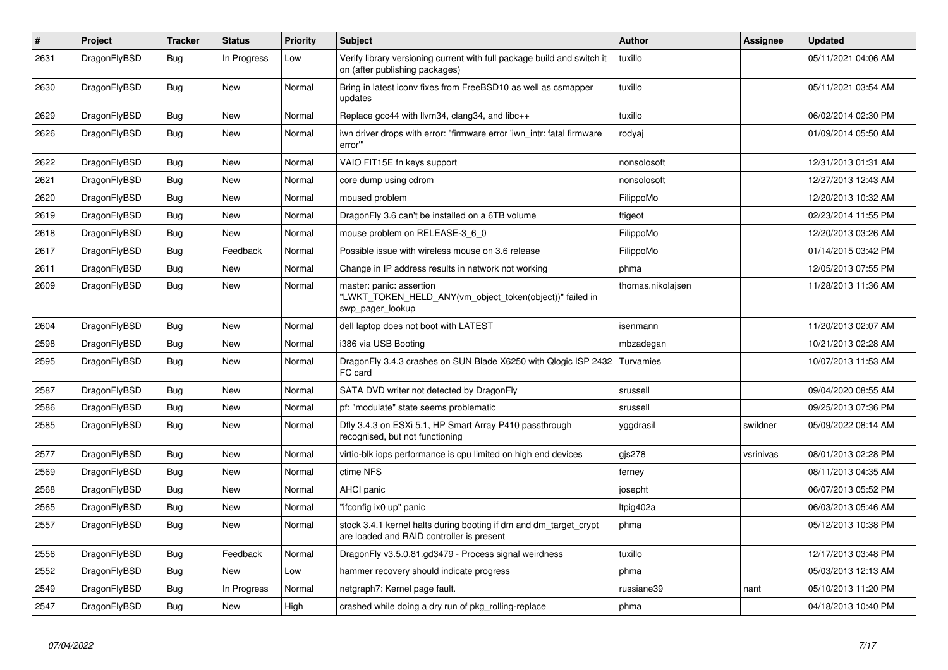| $\pmb{\#}$ | Project      | <b>Tracker</b> | <b>Status</b> | <b>Priority</b> | <b>Subject</b>                                                                                                 | <b>Author</b>     | Assignee  | Updated             |
|------------|--------------|----------------|---------------|-----------------|----------------------------------------------------------------------------------------------------------------|-------------------|-----------|---------------------|
| 2631       | DragonFlyBSD | Bug            | In Progress   | Low             | Verify library versioning current with full package build and switch it<br>on (after publishing packages)      | tuxillo           |           | 05/11/2021 04:06 AM |
| 2630       | DragonFlyBSD | <b>Bug</b>     | <b>New</b>    | Normal          | Bring in latest iconv fixes from FreeBSD10 as well as csmapper<br>updates                                      | tuxillo           |           | 05/11/2021 03:54 AM |
| 2629       | DragonFlyBSD | Bug            | <b>New</b>    | Normal          | Replace gcc44 with llvm34, clang34, and libc++                                                                 | tuxillo           |           | 06/02/2014 02:30 PM |
| 2626       | DragonFlyBSD | Bug            | <b>New</b>    | Normal          | iwn driver drops with error: "firmware error 'iwn_intr: fatal firmware<br>error"                               | rodyaj            |           | 01/09/2014 05:50 AM |
| 2622       | DragonFlyBSD | <b>Bug</b>     | <b>New</b>    | Normal          | VAIO FIT15E fn keys support                                                                                    | nonsolosoft       |           | 12/31/2013 01:31 AM |
| 2621       | DragonFlyBSD | <b>Bug</b>     | New           | Normal          | core dump using cdrom                                                                                          | nonsolosoft       |           | 12/27/2013 12:43 AM |
| 2620       | DragonFlyBSD | <b>Bug</b>     | <b>New</b>    | Normal          | moused problem                                                                                                 | FilippoMo         |           | 12/20/2013 10:32 AM |
| 2619       | DragonFlyBSD | Bug            | <b>New</b>    | Normal          | DragonFly 3.6 can't be installed on a 6TB volume                                                               | ftigeot           |           | 02/23/2014 11:55 PM |
| 2618       | DragonFlyBSD | <b>Bug</b>     | <b>New</b>    | Normal          | mouse problem on RELEASE-3_6_0                                                                                 | FilippoMo         |           | 12/20/2013 03:26 AM |
| 2617       | DragonFlyBSD | Bug            | Feedback      | Normal          | Possible issue with wireless mouse on 3.6 release                                                              | FilippoMo         |           | 01/14/2015 03:42 PM |
| 2611       | DragonFlyBSD | <b>Bug</b>     | <b>New</b>    | Normal          | Change in IP address results in network not working                                                            | phma              |           | 12/05/2013 07:55 PM |
| 2609       | DragonFlyBSD | Bug            | <b>New</b>    | Normal          | master: panic: assertion<br>"LWKT_TOKEN_HELD_ANY(vm_object_token(object))" failed in<br>swp pager lookup       | thomas.nikolajsen |           | 11/28/2013 11:36 AM |
| 2604       | DragonFlyBSD | <b>Bug</b>     | <b>New</b>    | Normal          | dell laptop does not boot with LATEST                                                                          | isenmann          |           | 11/20/2013 02:07 AM |
| 2598       | DragonFlyBSD | Bug            | <b>New</b>    | Normal          | i386 via USB Booting                                                                                           | mbzadegan         |           | 10/21/2013 02:28 AM |
| 2595       | DragonFlyBSD | Bug            | <b>New</b>    | Normal          | DragonFly 3.4.3 crashes on SUN Blade X6250 with Qlogic ISP 2432<br>FC card                                     | Turvamies         |           | 10/07/2013 11:53 AM |
| 2587       | DragonFlyBSD | Bug            | <b>New</b>    | Normal          | SATA DVD writer not detected by DragonFly                                                                      | srussell          |           | 09/04/2020 08:55 AM |
| 2586       | DragonFlyBSD | Bug            | <b>New</b>    | Normal          | pf: "modulate" state seems problematic                                                                         | srussell          |           | 09/25/2013 07:36 PM |
| 2585       | DragonFlyBSD | <b>Bug</b>     | <b>New</b>    | Normal          | Dfly 3.4.3 on ESXi 5.1, HP Smart Array P410 passthrough<br>recognised, but not functioning                     | yggdrasil         | swildner  | 05/09/2022 08:14 AM |
| 2577       | DragonFlyBSD | Bug            | <b>New</b>    | Normal          | virtio-blk iops performance is cpu limited on high end devices                                                 | gis278            | vsrinivas | 08/01/2013 02:28 PM |
| 2569       | DragonFlyBSD | <b>Bug</b>     | New           | Normal          | ctime NFS                                                                                                      | ferney            |           | 08/11/2013 04:35 AM |
| 2568       | DragonFlyBSD | Bug            | <b>New</b>    | Normal          | AHCI panic                                                                                                     | josepht           |           | 06/07/2013 05:52 PM |
| 2565       | DragonFlyBSD | Bug            | <b>New</b>    | Normal          | "ifconfig ix0 up" panic                                                                                        | Itpig402a         |           | 06/03/2013 05:46 AM |
| 2557       | DragonFlyBSD | Bug            | <b>New</b>    | Normal          | stock 3.4.1 kernel halts during booting if dm and dm_target_crypt<br>are loaded and RAID controller is present | phma              |           | 05/12/2013 10:38 PM |
| 2556       | DragonFlyBSD | Bug            | Feedback      | Normal          | DragonFly v3.5.0.81.gd3479 - Process signal weirdness                                                          | tuxillo           |           | 12/17/2013 03:48 PM |
| 2552       | DragonFlyBSD | Bug            | New           | Low             | hammer recovery should indicate progress                                                                       | phma              |           | 05/03/2013 12:13 AM |
| 2549       | DragonFlyBSD | Bug            | In Progress   | Normal          | netgraph7: Kernel page fault.                                                                                  | russiane39        | nant      | 05/10/2013 11:20 PM |
| 2547       | DragonFlyBSD | Bug            | New           | High            | crashed while doing a dry run of pkg rolling-replace                                                           | phma              |           | 04/18/2013 10:40 PM |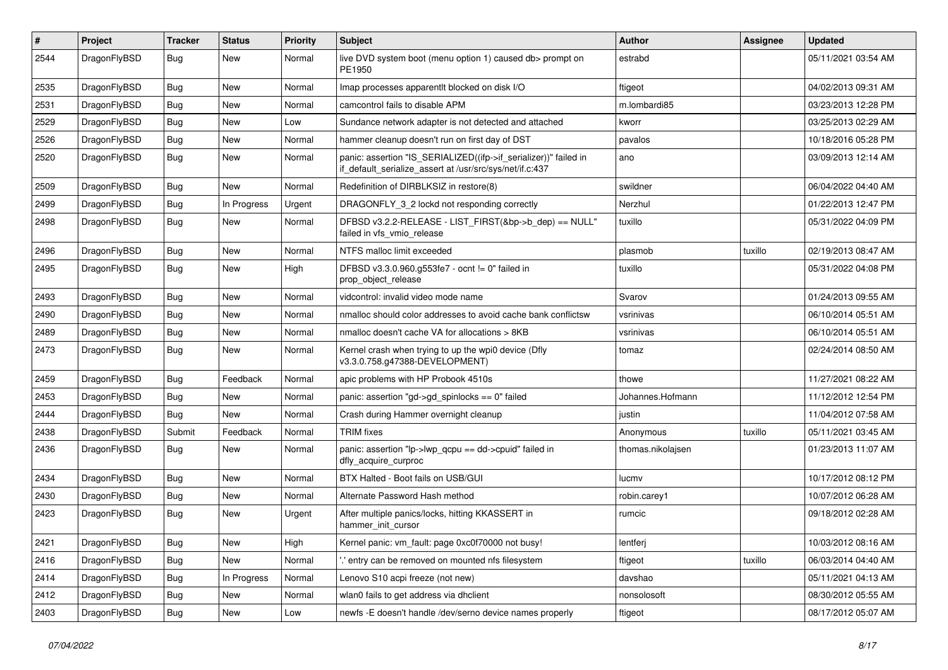| #    | Project      | <b>Tracker</b> | <b>Status</b> | <b>Priority</b> | Subject                                                                                                                      | Author            | Assignee | <b>Updated</b>      |
|------|--------------|----------------|---------------|-----------------|------------------------------------------------------------------------------------------------------------------------------|-------------------|----------|---------------------|
| 2544 | DragonFlyBSD | Bug            | New           | Normal          | live DVD system boot (menu option 1) caused db> prompt on<br>PE1950                                                          | estrabd           |          | 05/11/2021 03:54 AM |
| 2535 | DragonFlyBSD | <b>Bug</b>     | <b>New</b>    | Normal          | Imap processes apparentit blocked on disk I/O                                                                                | ftigeot           |          | 04/02/2013 09:31 AM |
| 2531 | DragonFlyBSD | Bug            | <b>New</b>    | Normal          | camcontrol fails to disable APM                                                                                              | m.lombardi85      |          | 03/23/2013 12:28 PM |
| 2529 | DragonFlyBSD | Bug            | <b>New</b>    | Low             | Sundance network adapter is not detected and attached                                                                        | kworr             |          | 03/25/2013 02:29 AM |
| 2526 | DragonFlyBSD | <b>Bug</b>     | New           | Normal          | hammer cleanup doesn't run on first day of DST                                                                               | pavalos           |          | 10/18/2016 05:28 PM |
| 2520 | DragonFlyBSD | Bug            | <b>New</b>    | Normal          | panic: assertion "IS_SERIALIZED((ifp->if_serializer))" failed in<br>if_default_serialize_assert at /usr/src/sys/net/if.c:437 | ano               |          | 03/09/2013 12:14 AM |
| 2509 | DragonFlyBSD | Bug            | <b>New</b>    | Normal          | Redefinition of DIRBLKSIZ in restore(8)                                                                                      | swildner          |          | 06/04/2022 04:40 AM |
| 2499 | DragonFlyBSD | <b>Bug</b>     | In Progress   | Urgent          | DRAGONFLY_3_2 lockd not responding correctly                                                                                 | Nerzhul           |          | 01/22/2013 12:47 PM |
| 2498 | DragonFlyBSD | Bug            | New           | Normal          | DFBSD v3.2.2-RELEASE - LIST_FIRST(&bp->b_dep) == NULL"<br>failed in vfs_vmio_release                                         | tuxillo           |          | 05/31/2022 04:09 PM |
| 2496 | DragonFlyBSD | Bug            | <b>New</b>    | Normal          | NTFS malloc limit exceeded                                                                                                   | plasmob           | tuxillo  | 02/19/2013 08:47 AM |
| 2495 | DragonFlyBSD | Bug            | New           | High            | DFBSD v3.3.0.960.g553fe7 - ocnt != 0" failed in<br>prop_object_release                                                       | tuxillo           |          | 05/31/2022 04:08 PM |
| 2493 | DragonFlyBSD | Bug            | <b>New</b>    | Normal          | vidcontrol: invalid video mode name                                                                                          | Svarov            |          | 01/24/2013 09:55 AM |
| 2490 | DragonFlyBSD | Bug            | <b>New</b>    | Normal          | nmalloc should color addresses to avoid cache bank conflictsw                                                                | vsrinivas         |          | 06/10/2014 05:51 AM |
| 2489 | DragonFlyBSD | <b>Bug</b>     | <b>New</b>    | Normal          | nmalloc doesn't cache VA for allocations > 8KB                                                                               | vsrinivas         |          | 06/10/2014 05:51 AM |
| 2473 | DragonFlyBSD | Bug            | New           | Normal          | Kernel crash when trying to up the wpi0 device (Dfly<br>v3.3.0.758.g47388-DEVELOPMENT)                                       | tomaz             |          | 02/24/2014 08:50 AM |
| 2459 | DragonFlyBSD | Bug            | Feedback      | Normal          | apic problems with HP Probook 4510s                                                                                          | thowe             |          | 11/27/2021 08:22 AM |
| 2453 | DragonFlyBSD | <b>Bug</b>     | New           | Normal          | panic: assertion "gd->gd_spinlocks == 0" failed                                                                              | Johannes.Hofmann  |          | 11/12/2012 12:54 PM |
| 2444 | DragonFlyBSD | Bug            | <b>New</b>    | Normal          | Crash during Hammer overnight cleanup                                                                                        | justin            |          | 11/04/2012 07:58 AM |
| 2438 | DragonFlyBSD | Submit         | Feedback      | Normal          | <b>TRIM</b> fixes                                                                                                            | Anonymous         | tuxillo  | 05/11/2021 03:45 AM |
| 2436 | DragonFlyBSD | Bug            | New           | Normal          | panic: assertion "lp->lwp_qcpu == dd->cpuid" failed in<br>dfly_acquire_curproc                                               | thomas.nikolajsen |          | 01/23/2013 11:07 AM |
| 2434 | DragonFlyBSD | Bug            | <b>New</b>    | Normal          | BTX Halted - Boot fails on USB/GUI                                                                                           | lucmv             |          | 10/17/2012 08:12 PM |
| 2430 | DragonFlyBSD | Bug            | <b>New</b>    | Normal          | Alternate Password Hash method                                                                                               | robin.carey1      |          | 10/07/2012 06:28 AM |
| 2423 | DragonFlyBSD | Bug            | <b>New</b>    | Urgent          | After multiple panics/locks, hitting KKASSERT in<br>hammer init cursor                                                       | rumcic            |          | 09/18/2012 02:28 AM |
| 2421 | DragonFlyBSD | <b>Bug</b>     | New           | High            | Kernel panic: vm_fault: page 0xc0f70000 not busy!                                                                            | lentferj          |          | 10/03/2012 08:16 AM |
| 2416 | DragonFlyBSD | <b>Bug</b>     | New           | Normal          | 'entry can be removed on mounted nfs filesystem                                                                              | ftigeot           | tuxillo  | 06/03/2014 04:40 AM |
| 2414 | DragonFlyBSD | <b>Bug</b>     | In Progress   | Normal          | Lenovo S10 acpi freeze (not new)                                                                                             | davshao           |          | 05/11/2021 04:13 AM |
| 2412 | DragonFlyBSD | <b>Bug</b>     | New           | Normal          | wlan0 fails to get address via dhclient                                                                                      | nonsolosoft       |          | 08/30/2012 05:55 AM |
| 2403 | DragonFlyBSD | Bug            | New           | Low             | newfs -E doesn't handle /dev/serno device names properly                                                                     | ftigeot           |          | 08/17/2012 05:07 AM |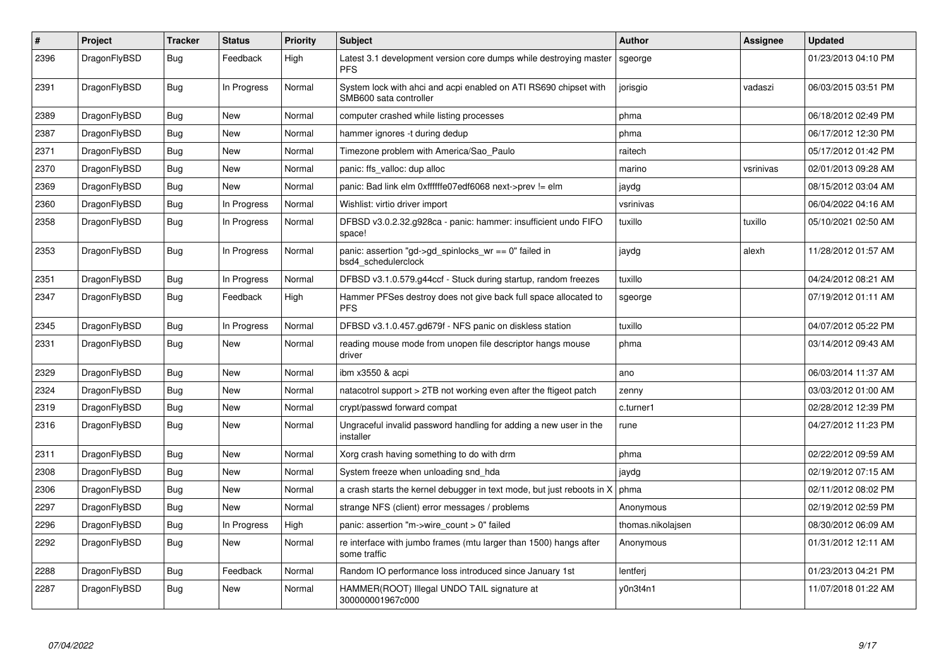| $\pmb{\#}$ | Project      | <b>Tracker</b> | <b>Status</b> | <b>Priority</b> | <b>Subject</b>                                                                             | <b>Author</b>     | Assignee  | <b>Updated</b>      |
|------------|--------------|----------------|---------------|-----------------|--------------------------------------------------------------------------------------------|-------------------|-----------|---------------------|
| 2396       | DragonFlyBSD | Bug            | Feedback      | High            | Latest 3.1 development version core dumps while destroying master<br><b>PFS</b>            | sgeorge           |           | 01/23/2013 04:10 PM |
| 2391       | DragonFlyBSD | Bug            | In Progress   | Normal          | System lock with ahci and acpi enabled on ATI RS690 chipset with<br>SMB600 sata controller | jorisgio          | vadaszi   | 06/03/2015 03:51 PM |
| 2389       | DragonFlyBSD | <b>Bug</b>     | <b>New</b>    | Normal          | computer crashed while listing processes                                                   | phma              |           | 06/18/2012 02:49 PM |
| 2387       | DragonFlyBSD | Bug            | New           | Normal          | hammer ignores -t during dedup                                                             | phma              |           | 06/17/2012 12:30 PM |
| 2371       | DragonFlyBSD | Bug            | New           | Normal          | Timezone problem with America/Sao Paulo                                                    | raitech           |           | 05/17/2012 01:42 PM |
| 2370       | DragonFlyBSD | <b>Bug</b>     | <b>New</b>    | Normal          | panic: ffs_valloc: dup alloc                                                               | marino            | vsrinivas | 02/01/2013 09:28 AM |
| 2369       | DragonFlyBSD | Bug            | <b>New</b>    | Normal          | panic: Bad link elm 0xffffffe07edf6068 next->prev != elm                                   | jaydg             |           | 08/15/2012 03:04 AM |
| 2360       | DragonFlyBSD | Bug            | In Progress   | Normal          | Wishlist: virtio driver import                                                             | vsrinivas         |           | 06/04/2022 04:16 AM |
| 2358       | DragonFlyBSD | <b>Bug</b>     | In Progress   | Normal          | DFBSD v3.0.2.32.g928ca - panic: hammer: insufficient undo FIFO<br>space!                   | tuxillo           | tuxillo   | 05/10/2021 02:50 AM |
| 2353       | DragonFlyBSD | <b>Bug</b>     | In Progress   | Normal          | panic: assertion "gd->gd_spinlocks_wr == 0" failed in<br>bsd4_schedulerclock               | jaydg             | alexh     | 11/28/2012 01:57 AM |
| 2351       | DragonFlyBSD | <b>Bug</b>     | In Progress   | Normal          | DFBSD v3.1.0.579.g44ccf - Stuck during startup, random freezes                             | tuxillo           |           | 04/24/2012 08:21 AM |
| 2347       | DragonFlyBSD | Bug            | Feedback      | High            | Hammer PFSes destroy does not give back full space allocated to<br><b>PFS</b>              | sgeorge           |           | 07/19/2012 01:11 AM |
| 2345       | DragonFlyBSD | <b>Bug</b>     | In Progress   | Normal          | DFBSD v3.1.0.457.gd679f - NFS panic on diskless station                                    | tuxillo           |           | 04/07/2012 05:22 PM |
| 2331       | DragonFlyBSD | Bug            | <b>New</b>    | Normal          | reading mouse mode from unopen file descriptor hangs mouse<br>driver                       | phma              |           | 03/14/2012 09:43 AM |
| 2329       | DragonFlyBSD | Bug            | <b>New</b>    | Normal          | ibm x3550 & acpi                                                                           | ano               |           | 06/03/2014 11:37 AM |
| 2324       | DragonFlyBSD | Bug            | New           | Normal          | natacotrol support > 2TB not working even after the ftigeot patch                          | zenny             |           | 03/03/2012 01:00 AM |
| 2319       | DragonFlyBSD | <b>Bug</b>     | New           | Normal          | crypt/passwd forward compat                                                                | c.turner1         |           | 02/28/2012 12:39 PM |
| 2316       | DragonFlyBSD | Bug            | New           | Normal          | Ungraceful invalid password handling for adding a new user in the<br>installer             | rune              |           | 04/27/2012 11:23 PM |
| 2311       | DragonFlyBSD | <b>Bug</b>     | <b>New</b>    | Normal          | Xorg crash having something to do with drm                                                 | phma              |           | 02/22/2012 09:59 AM |
| 2308       | DragonFlyBSD | Bug            | New           | Normal          | System freeze when unloading snd hda                                                       | jaydg             |           | 02/19/2012 07:15 AM |
| 2306       | DragonFlyBSD | <b>Bug</b>     | <b>New</b>    | Normal          | a crash starts the kernel debugger in text mode, but just reboots in X                     | phma              |           | 02/11/2012 08:02 PM |
| 2297       | DragonFlyBSD | <b>Bug</b>     | <b>New</b>    | Normal          | strange NFS (client) error messages / problems                                             | Anonymous         |           | 02/19/2012 02:59 PM |
| 2296       | DragonFlyBSD | <b>Bug</b>     | In Progress   | High            | panic: assertion "m->wire count > 0" failed                                                | thomas.nikolajsen |           | 08/30/2012 06:09 AM |
| 2292       | DragonFlyBSD | Bug            | New           | Normal          | re interface with jumbo frames (mtu larger than 1500) hangs after<br>some traffic          | Anonymous         |           | 01/31/2012 12:11 AM |
| 2288       | DragonFlyBSD | <b>Bug</b>     | Feedback      | Normal          | Random IO performance loss introduced since January 1st                                    | lentferj          |           | 01/23/2013 04:21 PM |
| 2287       | DragonFlyBSD | Bug            | <b>New</b>    | Normal          | HAMMER(ROOT) Illegal UNDO TAIL signature at<br>300000001967c000                            | y0n3t4n1          |           | 11/07/2018 01:22 AM |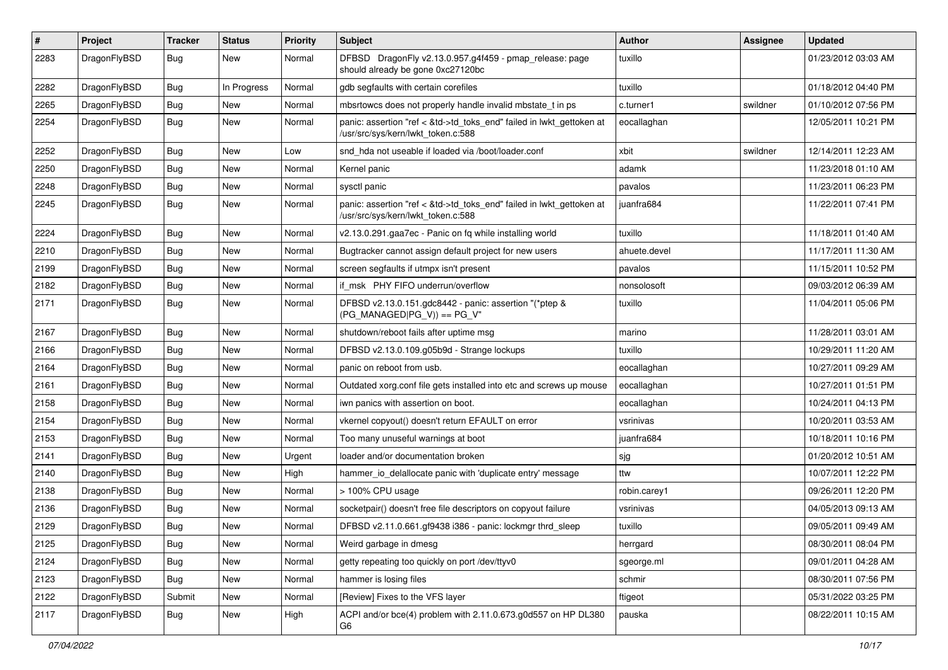| $\sharp$ | Project      | <b>Tracker</b> | <b>Status</b> | <b>Priority</b> | Subject                                                                                                    | <b>Author</b> | Assignee | <b>Updated</b>      |
|----------|--------------|----------------|---------------|-----------------|------------------------------------------------------------------------------------------------------------|---------------|----------|---------------------|
| 2283     | DragonFlyBSD | <b>Bug</b>     | New           | Normal          | DFBSD DragonFly v2.13.0.957.g4f459 - pmap_release: page<br>should already be gone 0xc27120bc               | tuxillo       |          | 01/23/2012 03:03 AM |
| 2282     | DragonFlyBSD | <b>Bug</b>     | In Progress   | Normal          | gdb segfaults with certain corefiles                                                                       | tuxillo       |          | 01/18/2012 04:40 PM |
| 2265     | DragonFlyBSD | <b>Bug</b>     | New           | Normal          | mbsrtowcs does not properly handle invalid mbstate t in ps                                                 | c.turner1     | swildner | 01/10/2012 07:56 PM |
| 2254     | DragonFlyBSD | Bug            | New           | Normal          | panic: assertion "ref < &td->td_toks_end" failed in lwkt_gettoken at<br>/usr/src/sys/kern/lwkt_token.c:588 | eocallaghan   |          | 12/05/2011 10:21 PM |
| 2252     | DragonFlyBSD | <b>Bug</b>     | New           | Low             | snd_hda not useable if loaded via /boot/loader.conf                                                        | xbit          | swildner | 12/14/2011 12:23 AM |
| 2250     | DragonFlyBSD | <b>Bug</b>     | New           | Normal          | Kernel panic                                                                                               | adamk         |          | 11/23/2018 01:10 AM |
| 2248     | DragonFlyBSD | <b>Bug</b>     | <b>New</b>    | Normal          | sysctl panic                                                                                               | pavalos       |          | 11/23/2011 06:23 PM |
| 2245     | DragonFlyBSD | Bug            | New           | Normal          | panic: assertion "ref < &td->td_toks_end" failed in lwkt_gettoken at<br>/usr/src/sys/kern/lwkt token.c:588 | juanfra684    |          | 11/22/2011 07:41 PM |
| 2224     | DragonFlyBSD | Bug            | New           | Normal          | v2.13.0.291.gaa7ec - Panic on fq while installing world                                                    | tuxillo       |          | 11/18/2011 01:40 AM |
| 2210     | DragonFlyBSD | <b>Bug</b>     | New           | Normal          | Bugtracker cannot assign default project for new users                                                     | ahuete.devel  |          | 11/17/2011 11:30 AM |
| 2199     | DragonFlyBSD | <b>Bug</b>     | New           | Normal          | screen segfaults if utmpx isn't present                                                                    | pavalos       |          | 11/15/2011 10:52 PM |
| 2182     | DragonFlyBSD | <b>Bug</b>     | New           | Normal          | if msk PHY FIFO underrun/overflow                                                                          | nonsolosoft   |          | 09/03/2012 06:39 AM |
| 2171     | DragonFlyBSD | <b>Bug</b>     | <b>New</b>    | Normal          | DFBSD v2.13.0.151.gdc8442 - panic: assertion "(*ptep &<br>(PG MANAGED PG V)) == PG V"                      | tuxillo       |          | 11/04/2011 05:06 PM |
| 2167     | DragonFlyBSD | <b>Bug</b>     | <b>New</b>    | Normal          | shutdown/reboot fails after uptime msg                                                                     | marino        |          | 11/28/2011 03:01 AM |
| 2166     | DragonFlyBSD | Bug            | <b>New</b>    | Normal          | DFBSD v2.13.0.109.g05b9d - Strange lockups                                                                 | tuxillo       |          | 10/29/2011 11:20 AM |
| 2164     | DragonFlyBSD | <b>Bug</b>     | New           | Normal          | panic on reboot from usb.                                                                                  | eocallaghan   |          | 10/27/2011 09:29 AM |
| 2161     | DragonFlyBSD | <b>Bug</b>     | New           | Normal          | Outdated xorg.conf file gets installed into etc and screws up mouse                                        | eocallaghan   |          | 10/27/2011 01:51 PM |
| 2158     | DragonFlyBSD | Bug            | New           | Normal          | iwn panics with assertion on boot.                                                                         | eocallaghan   |          | 10/24/2011 04:13 PM |
| 2154     | DragonFlyBSD | <b>Bug</b>     | New           | Normal          | vkernel copyout() doesn't return EFAULT on error                                                           | vsrinivas     |          | 10/20/2011 03:53 AM |
| 2153     | DragonFlyBSD | <b>Bug</b>     | New           | Normal          | Too many unuseful warnings at boot                                                                         | juanfra684    |          | 10/18/2011 10:16 PM |
| 2141     | DragonFlyBSD | <b>Bug</b>     | New           | Urgent          | loader and/or documentation broken                                                                         | sjg           |          | 01/20/2012 10:51 AM |
| 2140     | DragonFlyBSD | <b>Bug</b>     | <b>New</b>    | High            | hammer_io_delallocate panic with 'duplicate entry' message                                                 | ttw           |          | 10/07/2011 12:22 PM |
| 2138     | DragonFlyBSD | <b>Bug</b>     | New           | Normal          | > 100% CPU usage                                                                                           | robin.carey1  |          | 09/26/2011 12:20 PM |
| 2136     | DragonFlyBSD | <b>Bug</b>     | New           | Normal          | socketpair() doesn't free file descriptors on copyout failure                                              | vsrinivas     |          | 04/05/2013 09:13 AM |
| 2129     | DragonFlyBSD | <b>Bug</b>     | New           | Normal          | DFBSD v2.11.0.661.gf9438 i386 - panic: lockmgr thrd sleep                                                  | tuxillo       |          | 09/05/2011 09:49 AM |
| 2125     | DragonFlyBSD | <b>Bug</b>     | New           | Normal          | Weird garbage in dmesg                                                                                     | herrgard      |          | 08/30/2011 08:04 PM |
| 2124     | DragonFlyBSD | <b>Bug</b>     | <b>New</b>    | Normal          | getty repeating too quickly on port /dev/ttyv0                                                             | sgeorge.ml    |          | 09/01/2011 04:28 AM |
| 2123     | DragonFlyBSD | <b>Bug</b>     | New           | Normal          | hammer is losing files                                                                                     | schmir        |          | 08/30/2011 07:56 PM |
| 2122     | DragonFlyBSD | Submit         | New           | Normal          | [Review] Fixes to the VFS layer                                                                            | ftigeot       |          | 05/31/2022 03:25 PM |
| 2117     | DragonFlyBSD | <b>Bug</b>     | New           | High            | ACPI and/or bce(4) problem with 2.11.0.673.g0d557 on HP DL380<br>G6                                        | pauska        |          | 08/22/2011 10:15 AM |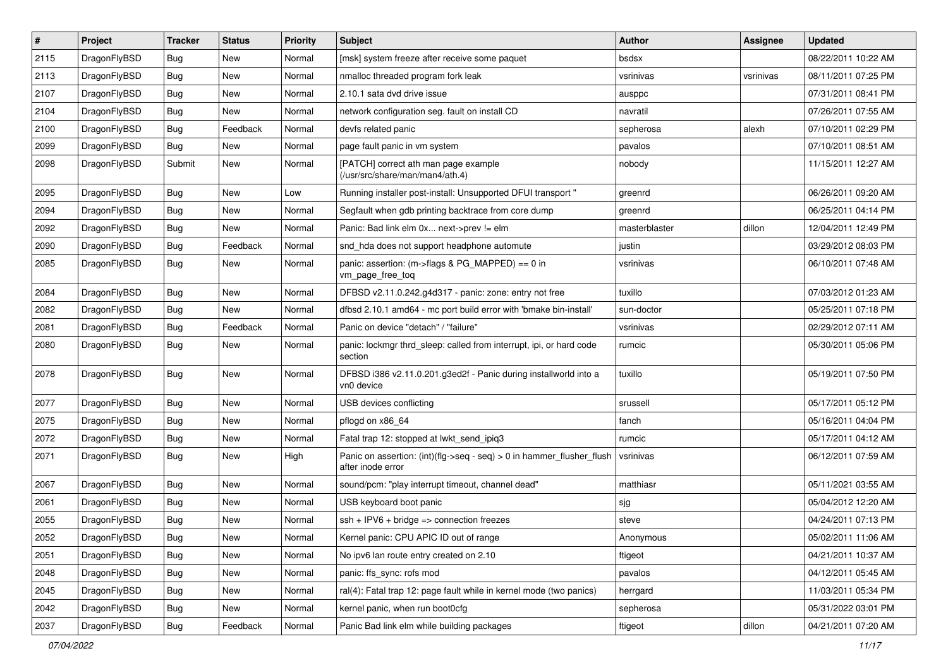| $\vert$ # | Project      | <b>Tracker</b> | <b>Status</b> | <b>Priority</b> | Subject                                                                                       | <b>Author</b> | <b>Assignee</b> | <b>Updated</b>      |
|-----------|--------------|----------------|---------------|-----------------|-----------------------------------------------------------------------------------------------|---------------|-----------------|---------------------|
| 2115      | DragonFlyBSD | Bug            | <b>New</b>    | Normal          | [msk] system freeze after receive some paquet                                                 | bsdsx         |                 | 08/22/2011 10:22 AM |
| 2113      | DragonFlyBSD | Bug            | <b>New</b>    | Normal          | nmalloc threaded program fork leak                                                            | vsrinivas     | vsrinivas       | 08/11/2011 07:25 PM |
| 2107      | DragonFlyBSD | Bug            | <b>New</b>    | Normal          | 2.10.1 sata dvd drive issue                                                                   | ausppc        |                 | 07/31/2011 08:41 PM |
| 2104      | DragonFlyBSD | Bug            | <b>New</b>    | Normal          | network configuration seg. fault on install CD                                                | navratil      |                 | 07/26/2011 07:55 AM |
| 2100      | DragonFlyBSD | Bug            | Feedback      | Normal          | devfs related panic                                                                           | sepherosa     | alexh           | 07/10/2011 02:29 PM |
| 2099      | DragonFlyBSD | Bug            | New           | Normal          | page fault panic in vm system                                                                 | pavalos       |                 | 07/10/2011 08:51 AM |
| 2098      | DragonFlyBSD | Submit         | <b>New</b>    | Normal          | [PATCH] correct ath man page example<br>(/usr/src/share/man/man4/ath.4)                       | nobody        |                 | 11/15/2011 12:27 AM |
| 2095      | DragonFlyBSD | Bug            | <b>New</b>    | Low             | Running installer post-install: Unsupported DFUI transport "                                  | greenrd       |                 | 06/26/2011 09:20 AM |
| 2094      | DragonFlyBSD | Bug            | <b>New</b>    | Normal          | Segfault when gdb printing backtrace from core dump                                           | greenrd       |                 | 06/25/2011 04:14 PM |
| 2092      | DragonFlyBSD | Bug            | <b>New</b>    | Normal          | Panic: Bad link elm 0x next->prev != elm                                                      | masterblaster | dillon          | 12/04/2011 12:49 PM |
| 2090      | DragonFlyBSD | Bug            | Feedback      | Normal          | snd_hda does not support headphone automute                                                   | justin        |                 | 03/29/2012 08:03 PM |
| 2085      | DragonFlyBSD | Bug            | New           | Normal          | panic: assertion: (m->flags & PG_MAPPED) == 0 in<br>vm_page_free_toq                          | vsrinivas     |                 | 06/10/2011 07:48 AM |
| 2084      | DragonFlyBSD | Bug            | <b>New</b>    | Normal          | DFBSD v2.11.0.242.g4d317 - panic: zone: entry not free                                        | tuxillo       |                 | 07/03/2012 01:23 AM |
| 2082      | DragonFlyBSD | Bug            | <b>New</b>    | Normal          | dfbsd 2.10.1 amd64 - mc port build error with 'bmake bin-install'                             | sun-doctor    |                 | 05/25/2011 07:18 PM |
| 2081      | DragonFlyBSD | Bug            | Feedback      | Normal          | Panic on device "detach" / "failure"                                                          | vsrinivas     |                 | 02/29/2012 07:11 AM |
| 2080      | DragonFlyBSD | Bug            | New           | Normal          | panic: lockmgr thrd_sleep: called from interrupt, ipi, or hard code<br>section                | rumcic        |                 | 05/30/2011 05:06 PM |
| 2078      | DragonFlyBSD | Bug            | <b>New</b>    | Normal          | DFBSD i386 v2.11.0.201.g3ed2f - Panic during installworld into a<br>vn0 device                | tuxillo       |                 | 05/19/2011 07:50 PM |
| 2077      | DragonFlyBSD | Bug            | New           | Normal          | USB devices conflicting                                                                       | srussell      |                 | 05/17/2011 05:12 PM |
| 2075      | DragonFlyBSD | Bug            | <b>New</b>    | Normal          | pflogd on x86 64                                                                              | fanch         |                 | 05/16/2011 04:04 PM |
| 2072      | DragonFlyBSD | Bug            | New           | Normal          | Fatal trap 12: stopped at lwkt send ipig3                                                     | rumcic        |                 | 05/17/2011 04:12 AM |
| 2071      | DragonFlyBSD | Bug            | <b>New</b>    | High            | Panic on assertion: $(int)(flag->seq - seq) > 0$ in hammer flusher flush<br>after inode error | vsrinivas     |                 | 06/12/2011 07:59 AM |
| 2067      | DragonFlyBSD | Bug            | <b>New</b>    | Normal          | sound/pcm: "play interrupt timeout, channel dead"                                             | matthiasr     |                 | 05/11/2021 03:55 AM |
| 2061      | DragonFlyBSD | Bug            | <b>New</b>    | Normal          | USB keyboard boot panic                                                                       | sjg           |                 | 05/04/2012 12:20 AM |
| 2055      | DragonFlyBSD | Bug            | <b>New</b>    | Normal          | $ssh + IPV6 + bridge \Rightarrow connection freezes$                                          | steve         |                 | 04/24/2011 07:13 PM |
| 2052      | DragonFlyBSD | <b>Bug</b>     | New           | Normal          | Kernel panic: CPU APIC ID out of range                                                        | Anonymous     |                 | 05/02/2011 11:06 AM |
| 2051      | DragonFlyBSD | <b>Bug</b>     | New           | Normal          | No ipv6 lan route entry created on 2.10                                                       | ftigeot       |                 | 04/21/2011 10:37 AM |
| 2048      | DragonFlyBSD | <b>Bug</b>     | New           | Normal          | panic: ffs_sync: rofs mod                                                                     | pavalos       |                 | 04/12/2011 05:45 AM |
| 2045      | DragonFlyBSD | <b>Bug</b>     | New           | Normal          | ral(4): Fatal trap 12: page fault while in kernel mode (two panics)                           | herrgard      |                 | 11/03/2011 05:34 PM |
| 2042      | DragonFlyBSD | <b>Bug</b>     | New           | Normal          | kernel panic, when run boot0cfg                                                               | sepherosa     |                 | 05/31/2022 03:01 PM |
| 2037      | DragonFlyBSD | Bug            | Feedback      | Normal          | Panic Bad link elm while building packages                                                    | ftigeot       | dillon          | 04/21/2011 07:20 AM |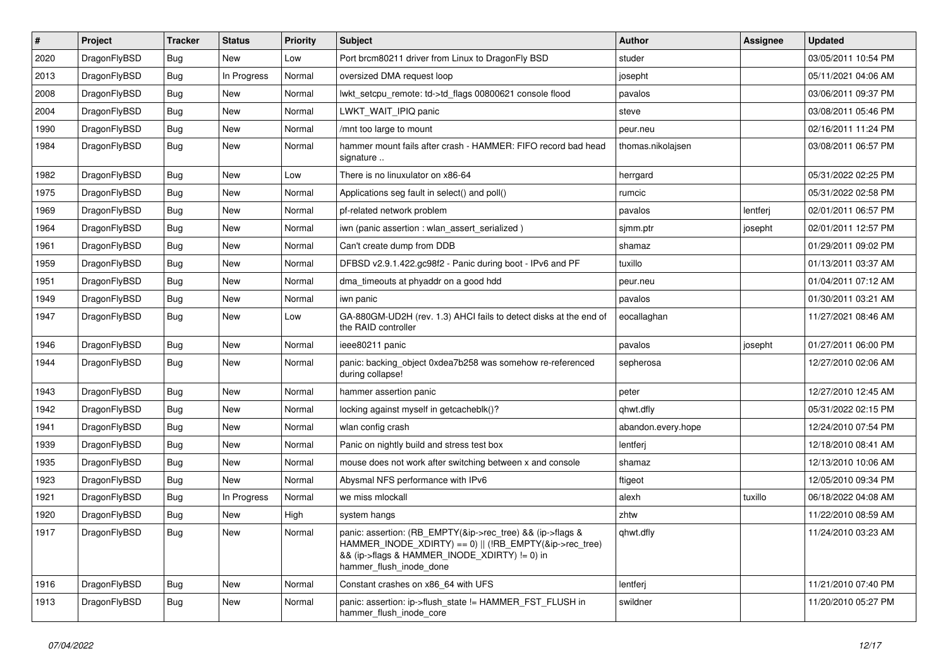| $\#$ | Project      | <b>Tracker</b> | <b>Status</b> | <b>Priority</b> | Subject                                                                                                                                                                                           | <b>Author</b>      | Assignee | <b>Updated</b>      |
|------|--------------|----------------|---------------|-----------------|---------------------------------------------------------------------------------------------------------------------------------------------------------------------------------------------------|--------------------|----------|---------------------|
| 2020 | DragonFlyBSD | <b>Bug</b>     | New           | Low             | Port brcm80211 driver from Linux to DragonFly BSD                                                                                                                                                 | studer             |          | 03/05/2011 10:54 PM |
| 2013 | DragonFlyBSD | <b>Bug</b>     | In Progress   | Normal          | oversized DMA request loop                                                                                                                                                                        | josepht            |          | 05/11/2021 04:06 AM |
| 2008 | DragonFlyBSD | <b>Bug</b>     | New           | Normal          | lwkt_setcpu_remote: td->td_flags 00800621 console flood                                                                                                                                           | pavalos            |          | 03/06/2011 09:37 PM |
| 2004 | DragonFlyBSD | Bug            | <b>New</b>    | Normal          | LWKT WAIT IPIQ panic                                                                                                                                                                              | steve              |          | 03/08/2011 05:46 PM |
| 1990 | DragonFlyBSD | <b>Bug</b>     | New           | Normal          | /mnt too large to mount                                                                                                                                                                           | peur.neu           |          | 02/16/2011 11:24 PM |
| 1984 | DragonFlyBSD | Bug            | New           | Normal          | hammer mount fails after crash - HAMMER: FIFO record bad head<br>signature                                                                                                                        | thomas.nikolajsen  |          | 03/08/2011 06:57 PM |
| 1982 | DragonFlyBSD | <b>Bug</b>     | New           | Low             | There is no linuxulator on x86-64                                                                                                                                                                 | herrgard           |          | 05/31/2022 02:25 PM |
| 1975 | DragonFlyBSD | Bug            | New           | Normal          | Applications seg fault in select() and poll()                                                                                                                                                     | rumcic             |          | 05/31/2022 02:58 PM |
| 1969 | DragonFlyBSD | <b>Bug</b>     | <b>New</b>    | Normal          | pf-related network problem                                                                                                                                                                        | pavalos            | lentferj | 02/01/2011 06:57 PM |
| 1964 | DragonFlyBSD | Bug            | New           | Normal          | iwn (panic assertion : wlan_assert_serialized)                                                                                                                                                    | sjmm.ptr           | josepht  | 02/01/2011 12:57 PM |
| 1961 | DragonFlyBSD | Bug            | <b>New</b>    | Normal          | Can't create dump from DDB                                                                                                                                                                        | shamaz             |          | 01/29/2011 09:02 PM |
| 1959 | DragonFlyBSD | Bug            | New           | Normal          | DFBSD v2.9.1.422.gc98f2 - Panic during boot - IPv6 and PF                                                                                                                                         | tuxillo            |          | 01/13/2011 03:37 AM |
| 1951 | DragonFlyBSD | <b>Bug</b>     | <b>New</b>    | Normal          | dma_timeouts at phyaddr on a good hdd                                                                                                                                                             | peur.neu           |          | 01/04/2011 07:12 AM |
| 1949 | DragonFlyBSD | <b>Bug</b>     | New           | Normal          | iwn panic                                                                                                                                                                                         | pavalos            |          | 01/30/2011 03:21 AM |
| 1947 | DragonFlyBSD | <b>Bug</b>     | New           | Low             | GA-880GM-UD2H (rev. 1.3) AHCI fails to detect disks at the end of<br>the RAID controller                                                                                                          | eocallaghan        |          | 11/27/2021 08:46 AM |
| 1946 | DragonFlyBSD | Bug            | <b>New</b>    | Normal          | ieee80211 panic                                                                                                                                                                                   | pavalos            | josepht  | 01/27/2011 06:00 PM |
| 1944 | DragonFlyBSD | <b>Bug</b>     | New           | Normal          | panic: backing object 0xdea7b258 was somehow re-referenced<br>during collapse!                                                                                                                    | sepherosa          |          | 12/27/2010 02:06 AM |
| 1943 | DragonFlyBSD | <b>Bug</b>     | New           | Normal          | hammer assertion panic                                                                                                                                                                            | peter              |          | 12/27/2010 12:45 AM |
| 1942 | DragonFlyBSD | <b>Bug</b>     | New           | Normal          | locking against myself in getcacheblk()?                                                                                                                                                          | qhwt.dfly          |          | 05/31/2022 02:15 PM |
| 1941 | DragonFlyBSD | <b>Bug</b>     | New           | Normal          | wlan config crash                                                                                                                                                                                 | abandon.every.hope |          | 12/24/2010 07:54 PM |
| 1939 | DragonFlyBSD | Bug            | New           | Normal          | Panic on nightly build and stress test box                                                                                                                                                        | lentferj           |          | 12/18/2010 08:41 AM |
| 1935 | DragonFlyBSD | Bug            | New           | Normal          | mouse does not work after switching between x and console                                                                                                                                         | shamaz             |          | 12/13/2010 10:06 AM |
| 1923 | DragonFlyBSD | <b>Bug</b>     | New           | Normal          | Abysmal NFS performance with IPv6                                                                                                                                                                 | ftigeot            |          | 12/05/2010 09:34 PM |
| 1921 | DragonFlyBSD | <b>Bug</b>     | In Progress   | Normal          | we miss mlockall                                                                                                                                                                                  | alexh              | tuxillo  | 06/18/2022 04:08 AM |
| 1920 | DragonFlyBSD | <b>Bug</b>     | New           | High            | system hangs                                                                                                                                                                                      | zhtw               |          | 11/22/2010 08:59 AM |
| 1917 | DragonFlyBSD | Bug            | New           | Normal          | panic: assertion: (RB_EMPTY(&ip->rec_tree) && (ip->flags &<br>HAMMER_INODE_XDIRTY) == 0)    (!RB_EMPTY(&ip->rec_tree)<br>&& (ip->flags & HAMMER_INODE_XDIRTY) != 0) in<br>hammer_flush_inode_done | qhwt.dfly          |          | 11/24/2010 03:23 AM |
| 1916 | DragonFlyBSD | <b>Bug</b>     | New           | Normal          | Constant crashes on x86 64 with UFS                                                                                                                                                               | lentferj           |          | 11/21/2010 07:40 PM |
| 1913 | DragonFlyBSD | <b>Bug</b>     | New           | Normal          | panic: assertion: ip->flush_state != HAMMER_FST_FLUSH in<br>hammer_flush_inode_core                                                                                                               | swildner           |          | 11/20/2010 05:27 PM |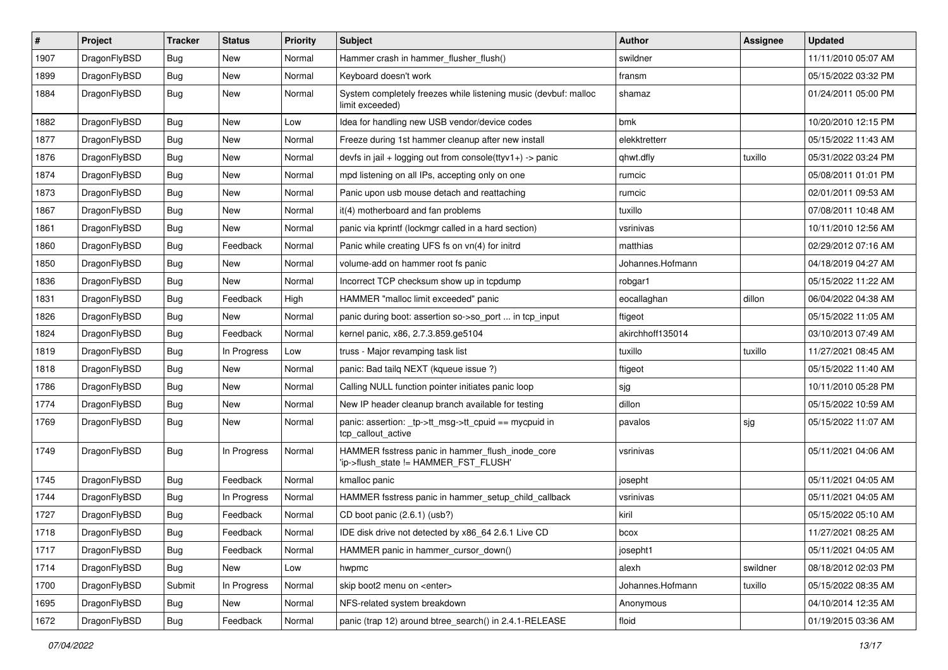| $\sharp$ | Project      | <b>Tracker</b> | <b>Status</b> | <b>Priority</b> | Subject                                                                                   | <b>Author</b>    | Assignee | <b>Updated</b>      |
|----------|--------------|----------------|---------------|-----------------|-------------------------------------------------------------------------------------------|------------------|----------|---------------------|
| 1907     | DragonFlyBSD | <b>Bug</b>     | <b>New</b>    | Normal          | Hammer crash in hammer_flusher_flush()                                                    | swildner         |          | 11/11/2010 05:07 AM |
| 1899     | DragonFlyBSD | <b>Bug</b>     | <b>New</b>    | Normal          | Keyboard doesn't work                                                                     | fransm           |          | 05/15/2022 03:32 PM |
| 1884     | DragonFlyBSD | <b>Bug</b>     | New           | Normal          | System completely freezes while listening music (devbuf: malloc<br>limit exceeded)        | shamaz           |          | 01/24/2011 05:00 PM |
| 1882     | DragonFlyBSD | <b>Bug</b>     | New           | Low             | Idea for handling new USB vendor/device codes                                             | bmk              |          | 10/20/2010 12:15 PM |
| 1877     | DragonFlyBSD | <b>Bug</b>     | New           | Normal          | Freeze during 1st hammer cleanup after new install                                        | elekktretterr    |          | 05/15/2022 11:43 AM |
| 1876     | DragonFlyBSD | Bug            | <b>New</b>    | Normal          | devfs in jail + logging out from console(ttyv1+) -> panic                                 | qhwt.dfly        | tuxillo  | 05/31/2022 03:24 PM |
| 1874     | DragonFlyBSD | <b>Bug</b>     | <b>New</b>    | Normal          | mpd listening on all IPs, accepting only on one                                           | rumcic           |          | 05/08/2011 01:01 PM |
| 1873     | DragonFlyBSD | <b>Bug</b>     | New           | Normal          | Panic upon usb mouse detach and reattaching                                               | rumcic           |          | 02/01/2011 09:53 AM |
| 1867     | DragonFlyBSD | Bug            | <b>New</b>    | Normal          | it(4) motherboard and fan problems                                                        | tuxillo          |          | 07/08/2011 10:48 AM |
| 1861     | DragonFlyBSD | <b>Bug</b>     | New           | Normal          | panic via kprintf (lockmgr called in a hard section)                                      | vsrinivas        |          | 10/11/2010 12:56 AM |
| 1860     | DragonFlyBSD | <b>Bug</b>     | Feedback      | Normal          | Panic while creating UFS fs on vn(4) for initrd                                           | matthias         |          | 02/29/2012 07:16 AM |
| 1850     | DragonFlyBSD | <b>Bug</b>     | New           | Normal          | volume-add on hammer root fs panic                                                        | Johannes.Hofmann |          | 04/18/2019 04:27 AM |
| 1836     | DragonFlyBSD | <b>Bug</b>     | New           | Normal          | Incorrect TCP checksum show up in tcpdump                                                 | robgar1          |          | 05/15/2022 11:22 AM |
| 1831     | DragonFlyBSD | Bug            | Feedback      | High            | HAMMER "malloc limit exceeded" panic                                                      | eocallaghan      | dillon   | 06/04/2022 04:38 AM |
| 1826     | DragonFlyBSD | <b>Bug</b>     | New           | Normal          | panic during boot: assertion so->so_port  in tcp_input                                    | ftigeot          |          | 05/15/2022 11:05 AM |
| 1824     | DragonFlyBSD | <b>Bug</b>     | Feedback      | Normal          | kernel panic, x86, 2.7.3.859.ge5104                                                       | akirchhoff135014 |          | 03/10/2013 07:49 AM |
| 1819     | DragonFlyBSD | <b>Bug</b>     | In Progress   | Low             | truss - Major revamping task list                                                         | tuxillo          | tuxillo  | 11/27/2021 08:45 AM |
| 1818     | DragonFlyBSD | <b>Bug</b>     | New           | Normal          | panic: Bad tailg NEXT (kqueue issue ?)                                                    | ftigeot          |          | 05/15/2022 11:40 AM |
| 1786     | DragonFlyBSD | Bug            | New           | Normal          | Calling NULL function pointer initiates panic loop                                        | sjg              |          | 10/11/2010 05:28 PM |
| 1774     | DragonFlyBSD | <b>Bug</b>     | <b>New</b>    | Normal          | New IP header cleanup branch available for testing                                        | dillon           |          | 05/15/2022 10:59 AM |
| 1769     | DragonFlyBSD | <b>Bug</b>     | New           | Normal          | panic: assertion: _tp->tt_msg->tt_cpuid == mycpuid in<br>tcp_callout_active               | pavalos          | sjg      | 05/15/2022 11:07 AM |
| 1749     | DragonFlyBSD | <b>Bug</b>     | In Progress   | Normal          | HAMMER fsstress panic in hammer_flush_inode_core<br>'ip->flush_state != HAMMER_FST_FLUSH' | vsrinivas        |          | 05/11/2021 04:06 AM |
| 1745     | DragonFlyBSD | <b>Bug</b>     | Feedback      | Normal          | kmalloc panic                                                                             | josepht          |          | 05/11/2021 04:05 AM |
| 1744     | DragonFlyBSD | <b>Bug</b>     | In Progress   | Normal          | HAMMER fsstress panic in hammer_setup_child_callback                                      | vsrinivas        |          | 05/11/2021 04:05 AM |
| 1727     | DragonFlyBSD | Bug            | Feedback      | Normal          | CD boot panic (2.6.1) (usb?)                                                              | kiril            |          | 05/15/2022 05:10 AM |
| 1718     | DragonFlyBSD | Bug            | Feedback      | Normal          | IDE disk drive not detected by x86 64 2.6.1 Live CD                                       | bcox             |          | 11/27/2021 08:25 AM |
| 1717     | DragonFlyBSD | Bug            | Feedback      | Normal          | HAMMER panic in hammer cursor down()                                                      | josepht1         |          | 05/11/2021 04:05 AM |
| 1714     | DragonFlyBSD | Bug            | New           | Low             | hwpmc                                                                                     | alexh            | swildner | 08/18/2012 02:03 PM |
| 1700     | DragonFlyBSD | Submit         | In Progress   | Normal          | skip boot2 menu on <enter></enter>                                                        | Johannes.Hofmann | tuxillo  | 05/15/2022 08:35 AM |
| 1695     | DragonFlyBSD | Bug            | New           | Normal          | NFS-related system breakdown                                                              | Anonymous        |          | 04/10/2014 12:35 AM |
| 1672     | DragonFlyBSD | <b>Bug</b>     | Feedback      | Normal          | panic (trap 12) around btree_search() in 2.4.1-RELEASE                                    | floid            |          | 01/19/2015 03:36 AM |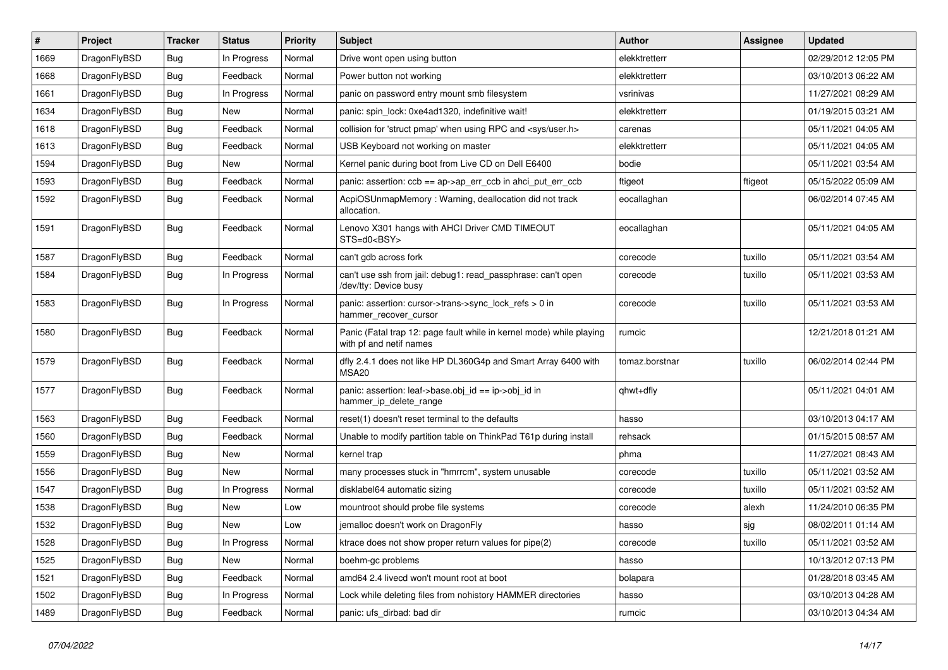| ∦    | Project      | <b>Tracker</b> | <b>Status</b> | <b>Priority</b> | <b>Subject</b>                                                                                  | <b>Author</b>  | Assignee | <b>Updated</b>      |
|------|--------------|----------------|---------------|-----------------|-------------------------------------------------------------------------------------------------|----------------|----------|---------------------|
| 1669 | DragonFlyBSD | <b>Bug</b>     | In Progress   | Normal          | Drive wont open using button                                                                    | elekktretterr  |          | 02/29/2012 12:05 PM |
| 1668 | DragonFlyBSD | <b>Bug</b>     | Feedback      | Normal          | Power button not working                                                                        | elekktretterr  |          | 03/10/2013 06:22 AM |
| 1661 | DragonFlyBSD | <b>Bug</b>     | In Progress   | Normal          | panic on password entry mount smb filesystem                                                    | vsrinivas      |          | 11/27/2021 08:29 AM |
| 1634 | DragonFlyBSD | <b>Bug</b>     | New           | Normal          | panic: spin lock: 0xe4ad1320, indefinitive wait!                                                | elekktretterr  |          | 01/19/2015 03:21 AM |
| 1618 | DragonFlyBSD | <b>Bug</b>     | Feedback      | Normal          | collision for 'struct pmap' when using RPC and <sys user.h=""></sys>                            | carenas        |          | 05/11/2021 04:05 AM |
| 1613 | DragonFlyBSD | <b>Bug</b>     | Feedback      | Normal          | USB Keyboard not working on master                                                              | elekktretterr  |          | 05/11/2021 04:05 AM |
| 1594 | DragonFlyBSD | <b>Bug</b>     | <b>New</b>    | Normal          | Kernel panic during boot from Live CD on Dell E6400                                             | bodie          |          | 05/11/2021 03:54 AM |
| 1593 | DragonFlyBSD | <b>Bug</b>     | Feedback      | Normal          | panic: assertion: ccb == ap->ap_err_ccb in ahci_put_err_ccb                                     | ftigeot        | ftigeot  | 05/15/2022 05:09 AM |
| 1592 | DragonFlyBSD | <b>Bug</b>     | Feedback      | Normal          | AcpiOSUnmapMemory: Warning, deallocation did not track<br>allocation.                           | eocallaghan    |          | 06/02/2014 07:45 AM |
| 1591 | DragonFlyBSD | <b>Bug</b>     | Feedback      | Normal          | Lenovo X301 hangs with AHCI Driver CMD TIMEOUT<br>STS=d0 <bsy></bsy>                            | eocallaghan    |          | 05/11/2021 04:05 AM |
| 1587 | DragonFlyBSD | <b>Bug</b>     | Feedback      | Normal          | can't gdb across fork                                                                           | corecode       | tuxillo  | 05/11/2021 03:54 AM |
| 1584 | DragonFlyBSD | Bug            | In Progress   | Normal          | can't use ssh from jail: debug1: read_passphrase: can't open<br>/dev/tty: Device busy           | corecode       | tuxillo  | 05/11/2021 03:53 AM |
| 1583 | DragonFlyBSD | Bug            | In Progress   | Normal          | panic: assertion: cursor->trans->sync_lock_refs > 0 in<br>hammer_recover_cursor                 | corecode       | tuxillo  | 05/11/2021 03:53 AM |
| 1580 | DragonFlyBSD | Bug            | Feedback      | Normal          | Panic (Fatal trap 12: page fault while in kernel mode) while playing<br>with pf and netif names | rumcic         |          | 12/21/2018 01:21 AM |
| 1579 | DragonFlyBSD | Bug            | Feedback      | Normal          | dfly 2.4.1 does not like HP DL360G4p and Smart Array 6400 with<br><b>MSA20</b>                  | tomaz.borstnar | tuxillo  | 06/02/2014 02:44 PM |
| 1577 | DragonFlyBSD | Bug            | Feedback      | Normal          | panic: assertion: leaf->base.obj_id == ip->obj_id in<br>hammer_ip_delete_range                  | qhwt+dfly      |          | 05/11/2021 04:01 AM |
| 1563 | DragonFlyBSD | <b>Bug</b>     | Feedback      | Normal          | reset(1) doesn't reset terminal to the defaults                                                 | hasso          |          | 03/10/2013 04:17 AM |
| 1560 | DragonFlyBSD | <b>Bug</b>     | Feedback      | Normal          | Unable to modify partition table on ThinkPad T61p during install                                | rehsack        |          | 01/15/2015 08:57 AM |
| 1559 | DragonFlyBSD | <b>Bug</b>     | <b>New</b>    | Normal          | kernel trap                                                                                     | phma           |          | 11/27/2021 08:43 AM |
| 1556 | DragonFlyBSD | <b>Bug</b>     | New           | Normal          | many processes stuck in "hmrrcm", system unusable                                               | corecode       | tuxillo  | 05/11/2021 03:52 AM |
| 1547 | DragonFlyBSD | <b>Bug</b>     | In Progress   | Normal          | disklabel64 automatic sizing                                                                    | corecode       | tuxillo  | 05/11/2021 03:52 AM |
| 1538 | DragonFlyBSD | <b>Bug</b>     | <b>New</b>    | Low             | mountroot should probe file systems                                                             | corecode       | alexh    | 11/24/2010 06:35 PM |
| 1532 | DragonFlyBSD | <b>Bug</b>     | New           | Low             | jemalloc doesn't work on DragonFly                                                              | hasso          | sjg      | 08/02/2011 01:14 AM |
| 1528 | DragonFlyBSD | Bug            | In Progress   | Normal          | ktrace does not show proper return values for pipe(2)                                           | corecode       | tuxillo  | 05/11/2021 03:52 AM |
| 1525 | DragonFlyBSD | <b>Bug</b>     | New           | Normal          | boehm-gc problems                                                                               | hasso          |          | 10/13/2012 07:13 PM |
| 1521 | DragonFlyBSD | <b>Bug</b>     | Feedback      | Normal          | amd64 2.4 livecd won't mount root at boot                                                       | bolapara       |          | 01/28/2018 03:45 AM |
| 1502 | DragonFlyBSD | <b>Bug</b>     | In Progress   | Normal          | Lock while deleting files from nohistory HAMMER directories                                     | hasso          |          | 03/10/2013 04:28 AM |
| 1489 | DragonFlyBSD | <b>Bug</b>     | Feedback      | Normal          | panic: ufs_dirbad: bad dir                                                                      | rumcic         |          | 03/10/2013 04:34 AM |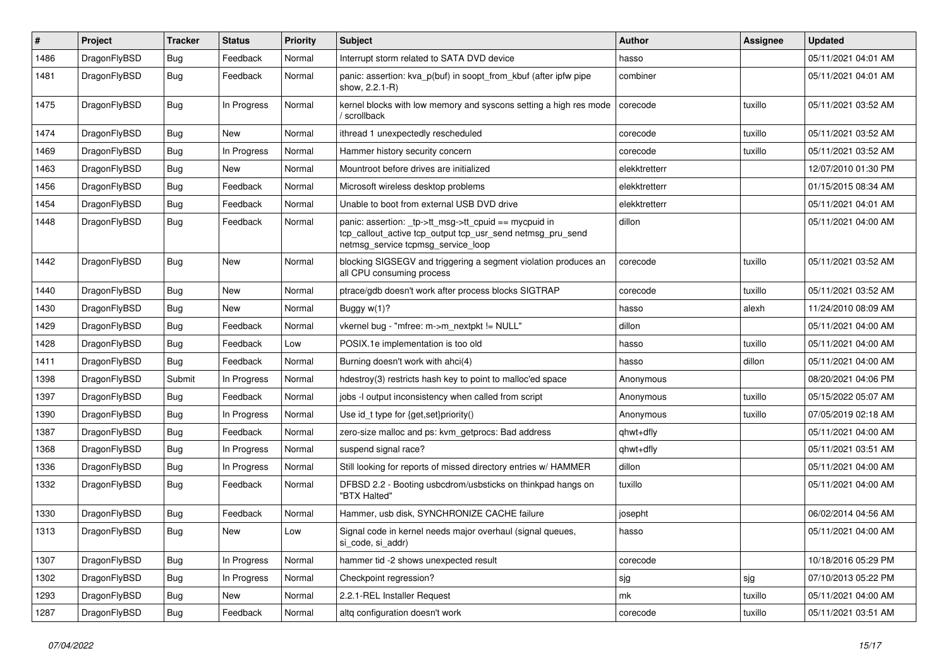| $\pmb{\#}$ | Project      | <b>Tracker</b> | <b>Status</b> | <b>Priority</b> | Subject                                                                                                                                                   | <b>Author</b> | <b>Assignee</b> | <b>Updated</b>      |
|------------|--------------|----------------|---------------|-----------------|-----------------------------------------------------------------------------------------------------------------------------------------------------------|---------------|-----------------|---------------------|
| 1486       | DragonFlyBSD | <b>Bug</b>     | Feedback      | Normal          | Interrupt storm related to SATA DVD device                                                                                                                | hasso         |                 | 05/11/2021 04:01 AM |
| 1481       | DragonFlyBSD | <b>Bug</b>     | Feedback      | Normal          | panic: assertion: kva_p(buf) in soopt_from_kbuf (after ipfw pipe<br>show, 2.2.1-R)                                                                        | combiner      |                 | 05/11/2021 04:01 AM |
| 1475       | DragonFlyBSD | Bug            | In Progress   | Normal          | kernel blocks with low memory and syscons setting a high res mode<br>/ scrollback                                                                         | corecode      | tuxillo         | 05/11/2021 03:52 AM |
| 1474       | DragonFlyBSD | <b>Bug</b>     | New           | Normal          | ithread 1 unexpectedly rescheduled                                                                                                                        | corecode      | tuxillo         | 05/11/2021 03:52 AM |
| 1469       | DragonFlyBSD | Bug            | In Progress   | Normal          | Hammer history security concern                                                                                                                           | corecode      | tuxillo         | 05/11/2021 03:52 AM |
| 1463       | DragonFlyBSD | <b>Bug</b>     | New           | Normal          | Mountroot before drives are initialized                                                                                                                   | elekktretterr |                 | 12/07/2010 01:30 PM |
| 1456       | DragonFlyBSD | Bug            | Feedback      | Normal          | Microsoft wireless desktop problems                                                                                                                       | elekktretterr |                 | 01/15/2015 08:34 AM |
| 1454       | DragonFlyBSD | <b>Bug</b>     | Feedback      | Normal          | Unable to boot from external USB DVD drive                                                                                                                | elekktretterr |                 | 05/11/2021 04:01 AM |
| 1448       | DragonFlyBSD | <b>Bug</b>     | Feedback      | Normal          | panic: assertion: _tp->tt_msg->tt_cpuid == mycpuid in<br>tcp_callout_active tcp_output tcp_usr_send netmsg_pru_send<br>netmsg_service tcpmsg_service_loop | dillon        |                 | 05/11/2021 04:00 AM |
| 1442       | DragonFlyBSD | Bug            | <b>New</b>    | Normal          | blocking SIGSEGV and triggering a segment violation produces an<br>all CPU consuming process                                                              | corecode      | tuxillo         | 05/11/2021 03:52 AM |
| 1440       | DragonFlyBSD | <b>Bug</b>     | <b>New</b>    | Normal          | ptrace/gdb doesn't work after process blocks SIGTRAP                                                                                                      | corecode      | tuxillo         | 05/11/2021 03:52 AM |
| 1430       | DragonFlyBSD | <b>Bug</b>     | New           | Normal          | Buggy w(1)?                                                                                                                                               | hasso         | alexh           | 11/24/2010 08:09 AM |
| 1429       | DragonFlyBSD | <b>Bug</b>     | Feedback      | Normal          | vkernel bug - "mfree: m->m_nextpkt != NULL"                                                                                                               | dillon        |                 | 05/11/2021 04:00 AM |
| 1428       | DragonFlyBSD | <b>Bug</b>     | Feedback      | Low             | POSIX.1e implementation is too old                                                                                                                        | hasso         | tuxillo         | 05/11/2021 04:00 AM |
| 1411       | DragonFlyBSD | Bug            | Feedback      | Normal          | Burning doesn't work with ahci(4)                                                                                                                         | hasso         | dillon          | 05/11/2021 04:00 AM |
| 1398       | DragonFlyBSD | Submit         | In Progress   | Normal          | hdestroy(3) restricts hash key to point to malloc'ed space                                                                                                | Anonymous     |                 | 08/20/2021 04:06 PM |
| 1397       | DragonFlyBSD | <b>Bug</b>     | Feedback      | Normal          | jobs -I output inconsistency when called from script                                                                                                      | Anonymous     | tuxillo         | 05/15/2022 05:07 AM |
| 1390       | DragonFlyBSD | Bug            | In Progress   | Normal          | Use id_t type for {get,set}priority()                                                                                                                     | Anonymous     | tuxillo         | 07/05/2019 02:18 AM |
| 1387       | DragonFlyBSD | <b>Bug</b>     | Feedback      | Normal          | zero-size malloc and ps: kvm getprocs: Bad address                                                                                                        | qhwt+dfly     |                 | 05/11/2021 04:00 AM |
| 1368       | DragonFlyBSD | <b>Bug</b>     | In Progress   | Normal          | suspend signal race?                                                                                                                                      | qhwt+dfly     |                 | 05/11/2021 03:51 AM |
| 1336       | DragonFlyBSD | <b>Bug</b>     | In Progress   | Normal          | Still looking for reports of missed directory entries w/ HAMMER                                                                                           | dillon        |                 | 05/11/2021 04:00 AM |
| 1332       | DragonFlyBSD | Bug            | Feedback      | Normal          | DFBSD 2.2 - Booting usbcdrom/usbsticks on thinkpad hangs on<br>"BTX Halted"                                                                               | tuxillo       |                 | 05/11/2021 04:00 AM |
| 1330       | DragonFlyBSD | <b>Bug</b>     | Feedback      | Normal          | Hammer, usb disk, SYNCHRONIZE CACHE failure                                                                                                               | josepht       |                 | 06/02/2014 04:56 AM |
| 1313       | DragonFlyBSD | <b>Bug</b>     | New           | Low             | Signal code in kernel needs major overhaul (signal queues,<br>si_code, si_addr)                                                                           | hasso         |                 | 05/11/2021 04:00 AM |
| 1307       | DragonFlyBSD | <b>Bug</b>     | In Progress   | Normal          | hammer tid -2 shows unexpected result                                                                                                                     | corecode      |                 | 10/18/2016 05:29 PM |
| 1302       | DragonFlyBSD | Bug            | In Progress   | Normal          | Checkpoint regression?                                                                                                                                    | sjg           | sjg             | 07/10/2013 05:22 PM |
| 1293       | DragonFlyBSD | Bug            | New           | Normal          | 2.2.1-REL Installer Request                                                                                                                               | mk            | tuxillo         | 05/11/2021 04:00 AM |
| 1287       | DragonFlyBSD | <b>Bug</b>     | Feedback      | Normal          | altq configuration doesn't work                                                                                                                           | corecode      | tuxillo         | 05/11/2021 03:51 AM |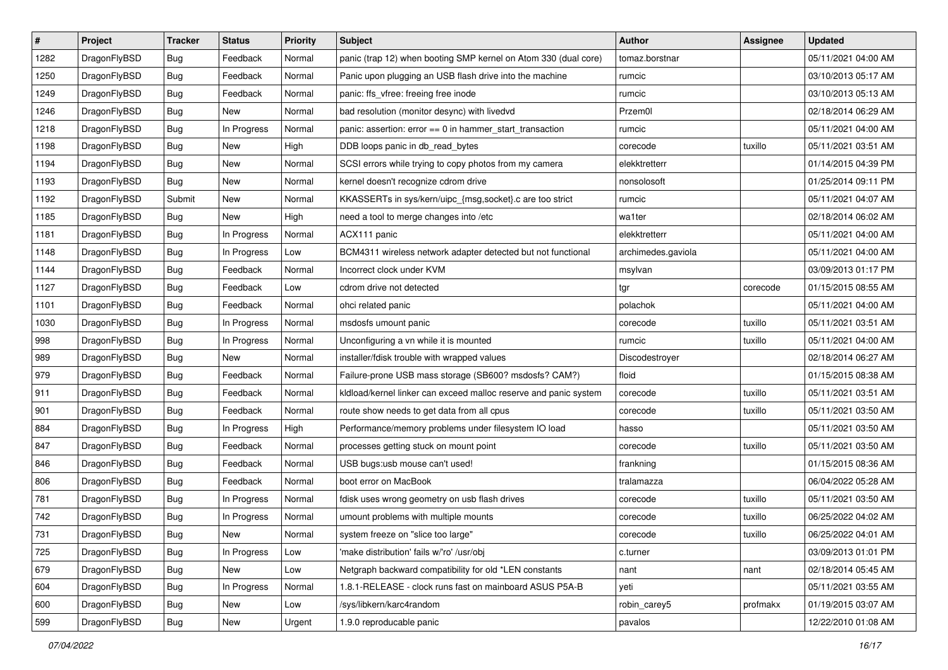| $\sharp$ | Project      | <b>Tracker</b> | <b>Status</b> | <b>Priority</b> | <b>Subject</b>                                                   | <b>Author</b>      | <b>Assignee</b> | <b>Updated</b>      |
|----------|--------------|----------------|---------------|-----------------|------------------------------------------------------------------|--------------------|-----------------|---------------------|
| 1282     | DragonFlyBSD | Bug            | Feedback      | Normal          | panic (trap 12) when booting SMP kernel on Atom 330 (dual core)  | tomaz.borstnar     |                 | 05/11/2021 04:00 AM |
| 1250     | DragonFlyBSD | <b>Bug</b>     | Feedback      | Normal          | Panic upon plugging an USB flash drive into the machine          | rumcic             |                 | 03/10/2013 05:17 AM |
| 1249     | DragonFlyBSD | <b>Bug</b>     | Feedback      | Normal          | panic: ffs_vfree: freeing free inode                             | rumcic             |                 | 03/10/2013 05:13 AM |
| 1246     | DragonFlyBSD | <b>Bug</b>     | New           | Normal          | bad resolution (monitor desync) with livedvd                     | Przem0l            |                 | 02/18/2014 06:29 AM |
| 1218     | DragonFlyBSD | <b>Bug</b>     | In Progress   | Normal          | panic: assertion: error == 0 in hammer_start_transaction         | rumcic             |                 | 05/11/2021 04:00 AM |
| 1198     | DragonFlyBSD | <b>Bug</b>     | New           | High            | DDB loops panic in db_read_bytes                                 | corecode           | tuxillo         | 05/11/2021 03:51 AM |
| 1194     | DragonFlyBSD | <b>Bug</b>     | New           | Normal          | SCSI errors while trying to copy photos from my camera           | elekktretterr      |                 | 01/14/2015 04:39 PM |
| 1193     | DragonFlyBSD | <b>Bug</b>     | <b>New</b>    | Normal          | kernel doesn't recognize cdrom drive                             | nonsolosoft        |                 | 01/25/2014 09:11 PM |
| 1192     | DragonFlyBSD | Submit         | <b>New</b>    | Normal          | KKASSERTs in sys/kern/uipc_{msg,socket}.c are too strict         | rumcic             |                 | 05/11/2021 04:07 AM |
| 1185     | DragonFlyBSD | Bug            | <b>New</b>    | High            | need a tool to merge changes into /etc                           | wa1ter             |                 | 02/18/2014 06:02 AM |
| 1181     | DragonFlyBSD | <b>Bug</b>     | In Progress   | Normal          | ACX111 panic                                                     | elekktretterr      |                 | 05/11/2021 04:00 AM |
| 1148     | DragonFlyBSD | <b>Bug</b>     | In Progress   | Low             | BCM4311 wireless network adapter detected but not functional     | archimedes.gaviola |                 | 05/11/2021 04:00 AM |
| 1144     | DragonFlyBSD | Bug            | Feedback      | Normal          | Incorrect clock under KVM                                        | msylvan            |                 | 03/09/2013 01:17 PM |
| 1127     | DragonFlyBSD | <b>Bug</b>     | Feedback      | Low             | cdrom drive not detected                                         | tgr                | corecode        | 01/15/2015 08:55 AM |
| 1101     | DragonFlyBSD | Bug            | Feedback      | Normal          | ohci related panic                                               | polachok           |                 | 05/11/2021 04:00 AM |
| 1030     | DragonFlyBSD | <b>Bug</b>     | In Progress   | Normal          | msdosfs umount panic                                             | corecode           | tuxillo         | 05/11/2021 03:51 AM |
| 998      | DragonFlyBSD | <b>Bug</b>     | In Progress   | Normal          | Unconfiguring a vn while it is mounted                           | rumcic             | tuxillo         | 05/11/2021 04:00 AM |
| 989      | DragonFlyBSD | <b>Bug</b>     | <b>New</b>    | Normal          | installer/fdisk trouble with wrapped values                      | Discodestroyer     |                 | 02/18/2014 06:27 AM |
| 979      | DragonFlyBSD | <b>Bug</b>     | Feedback      | Normal          | Failure-prone USB mass storage (SB600? msdosfs? CAM?)            | floid              |                 | 01/15/2015 08:38 AM |
| 911      | DragonFlyBSD | <b>Bug</b>     | Feedback      | Normal          | kldload/kernel linker can exceed malloc reserve and panic system | corecode           | tuxillo         | 05/11/2021 03:51 AM |
| 901      | DragonFlyBSD | Bug            | Feedback      | Normal          | route show needs to get data from all cpus                       | corecode           | tuxillo         | 05/11/2021 03:50 AM |
| 884      | DragonFlyBSD | <b>Bug</b>     | In Progress   | High            | Performance/memory problems under filesystem IO load             | hasso              |                 | 05/11/2021 03:50 AM |
| 847      | DragonFlyBSD | <b>Bug</b>     | Feedback      | Normal          | processes getting stuck on mount point                           | corecode           | tuxillo         | 05/11/2021 03:50 AM |
| 846      | DragonFlyBSD | <b>Bug</b>     | Feedback      | Normal          | USB bugs:usb mouse can't used!                                   | frankning          |                 | 01/15/2015 08:36 AM |
| 806      | DragonFlyBSD | <b>Bug</b>     | Feedback      | Normal          | boot error on MacBook                                            | tralamazza         |                 | 06/04/2022 05:28 AM |
| 781      | DragonFlyBSD | Bug            | In Progress   | Normal          | fdisk uses wrong geometry on usb flash drives                    | corecode           | tuxillo         | 05/11/2021 03:50 AM |
| 742      | DragonFlyBSD | <b>Bug</b>     | In Progress   | Normal          | umount problems with multiple mounts                             | corecode           | tuxillo         | 06/25/2022 04:02 AM |
| 731      | DragonFlyBSD | <b>Bug</b>     | New           | Normal          | system freeze on "slice too large"                               | corecode           | tuxillo         | 06/25/2022 04:01 AM |
| 725      | DragonFlyBSD | Bug            | In Progress   | Low             | 'make distribution' fails w/'ro' /usr/obj                        | c.turner           |                 | 03/09/2013 01:01 PM |
| 679      | DragonFlyBSD | <b>Bug</b>     | New           | Low             | Netgraph backward compatibility for old *LEN constants           | nant               | nant            | 02/18/2014 05:45 AM |
| 604      | DragonFlyBSD | <b>Bug</b>     | In Progress   | Normal          | 1.8.1-RELEASE - clock runs fast on mainboard ASUS P5A-B          | yeti               |                 | 05/11/2021 03:55 AM |
| 600      | DragonFlyBSD | <b>Bug</b>     | New           | Low             | /sys/libkern/karc4random                                         | robin_carey5       | profmakx        | 01/19/2015 03:07 AM |
| 599      | DragonFlyBSD | Bug            | New           | Urgent          | 1.9.0 reproducable panic                                         | pavalos            |                 | 12/22/2010 01:08 AM |